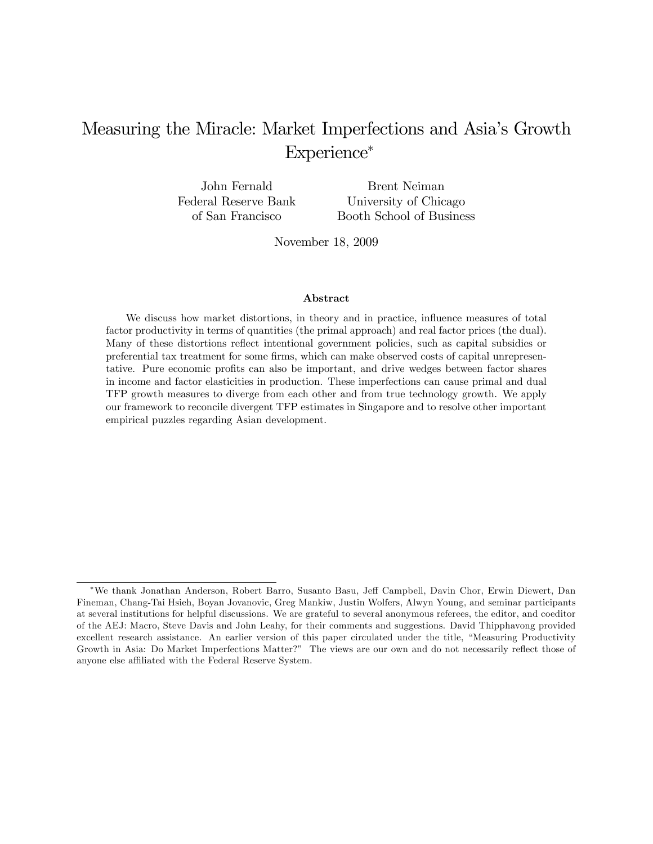# Measuring the Miracle: Market Imperfections and Asia's Growth Experience\*

John Fernald Federal Reserve Bank of San Francisco Brent Neiman University of Chicago Booth School of Business

November 18, 2009

#### Abstract

We discuss how market distortions, in theory and in practice, influence measures of total factor productivity in terms of quantities (the primal approach) and real factor prices (the dual). Many of these distortions reflect intentional government policies, such as capital subsidies or preferential tax treatment for some firms, which can make observed costs of capital unrepresentative. Pure economic profits can also be important, and drive wedges between factor shares in income and factor elasticities in production. These imperfections can cause primal and dual TFP growth measures to diverge from each other and from true technology growth. We apply our framework to reconcile divergent TFP estimates in Singapore and to resolve other important empirical puzzles regarding Asian development.

We thank Jonathan Anderson, Robert Barro, Susanto Basu, Je§ Campbell, Davin Chor, Erwin Diewert, Dan Fineman, Chang-Tai Hsieh, Boyan Jovanovic, Greg Mankiw, Justin Wolfers, Alwyn Young, and seminar participants at several institutions for helpful discussions. We are grateful to several anonymous referees, the editor, and coeditor of the AEJ: Macro, Steve Davis and John Leahy, for their comments and suggestions. David Thipphavong provided excellent research assistance. An earlier version of this paper circulated under the title, "Measuring Productivity Growth in Asia: Do Market Imperfections Matter?" The views are our own and do not necessarily reflect those of anyone else affiliated with the Federal Reserve System.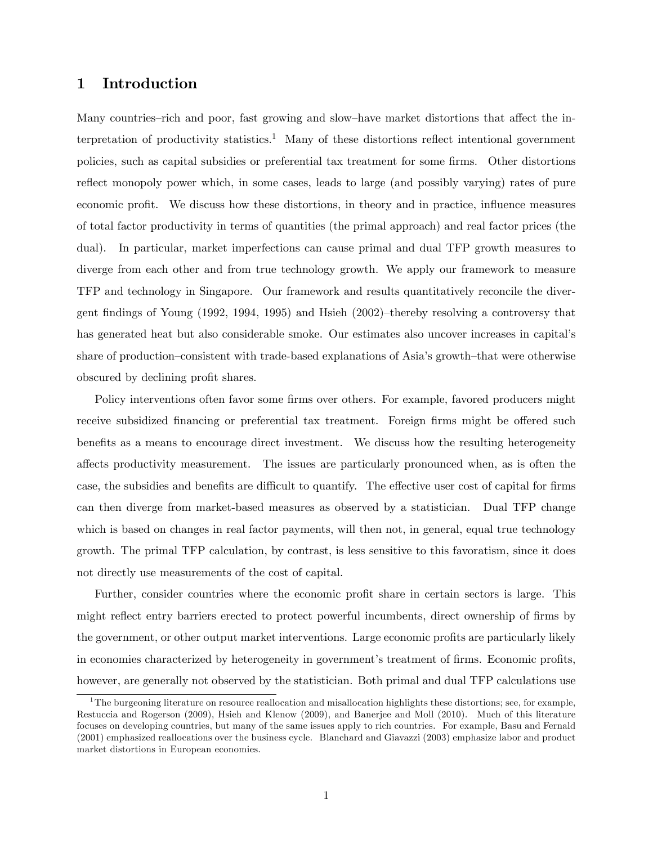# 1 Introduction

Many countries–rich and poor, fast growing and slow–have market distortions that affect the interpretation of productivity statistics.<sup>1</sup> Many of these distortions reflect intentional government policies, such as capital subsidies or preferential tax treatment for some firms. Other distortions reflect monopoly power which, in some cases, leads to large (and possibly varying) rates of pure economic profit. We discuss how these distortions, in theory and in practice, influence measures of total factor productivity in terms of quantities (the primal approach) and real factor prices (the dual). In particular, market imperfections can cause primal and dual TFP growth measures to diverge from each other and from true technology growth. We apply our framework to measure TFP and technology in Singapore. Our framework and results quantitatively reconcile the divergent findings of Young (1992, 1994, 1995) and Hsieh  $(2002)$ -thereby resolving a controversy that has generated heat but also considerable smoke. Our estimates also uncover increases in capitalís share of production–consistent with trade-based explanations of Asia's growth–that were otherwise obscured by declining profit shares.

Policy interventions often favor some firms over others. For example, favored producers might receive subsidized financing or preferential tax treatment. Foreign firms might be offered such benefits as a means to encourage direct investment. We discuss how the resulting heterogeneity affects productivity measurement. The issues are particularly pronounced when, as is often the case, the subsidies and benefits are difficult to quantify. The effective user cost of capital for firms can then diverge from market-based measures as observed by a statistician. Dual TFP change which is based on changes in real factor payments, will then not, in general, equal true technology growth. The primal TFP calculation, by contrast, is less sensitive to this favoratism, since it does not directly use measurements of the cost of capital.

Further, consider countries where the economic profit share in certain sectors is large. This might reflect entry barriers erected to protect powerful incumbents, direct ownership of firms by the government, or other output market interventions. Large economic profits are particularly likely in economies characterized by heterogeneity in government's treatment of firms. Economic profits, however, are generally not observed by the statistician. Both primal and dual TFP calculations use

<sup>&</sup>lt;sup>1</sup>The burgeoning literature on resource reallocation and misallocation highlights these distortions; see, for example, Restuccia and Rogerson (2009), Hsieh and Klenow (2009), and Banerjee and Moll (2010). Much of this literature focuses on developing countries, but many of the same issues apply to rich countries. For example, Basu and Fernald (2001) emphasized reallocations over the business cycle. Blanchard and Giavazzi (2003) emphasize labor and product market distortions in European economies.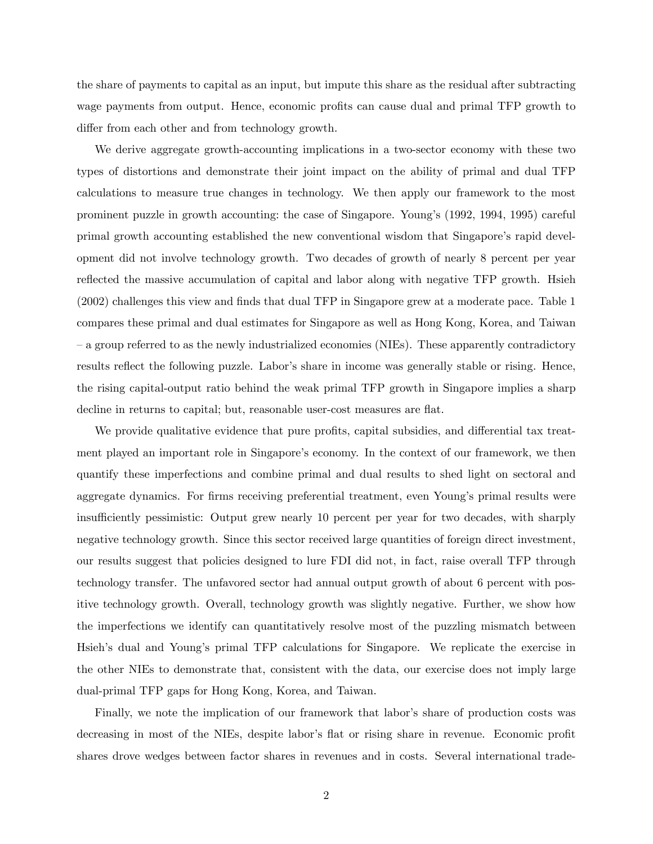the share of payments to capital as an input, but impute this share as the residual after subtracting wage payments from output. Hence, economic profits can cause dual and primal TFP growth to differ from each other and from technology growth.

We derive aggregate growth-accounting implications in a two-sector economy with these two types of distortions and demonstrate their joint impact on the ability of primal and dual TFP calculations to measure true changes in technology. We then apply our framework to the most prominent puzzle in growth accounting: the case of Singapore. Youngís (1992, 1994, 1995) careful primal growth accounting established the new conventional wisdom that Singapore's rapid development did not involve technology growth. Two decades of growth of nearly 8 percent per year reflected the massive accumulation of capital and labor along with negative TFP growth. Hsieh (2002) challenges this view and finds that dual TFP in Singapore grew at a moderate pace. Table 1 compares these primal and dual estimates for Singapore as well as Hong Kong, Korea, and Taiwan – a group referred to as the newly industrialized economies (NIEs). These apparently contradictory results reflect the following puzzle. Labor's share in income was generally stable or rising. Hence, the rising capital-output ratio behind the weak primal TFP growth in Singapore implies a sharp decline in returns to capital; but, reasonable user-cost measures are flat.

We provide qualitative evidence that pure profits, capital subsidies, and differential tax treatment played an important role in Singapore's economy. In the context of our framework, we then quantify these imperfections and combine primal and dual results to shed light on sectoral and aggregate dynamics. For firms receiving preferential treatment, even Young's primal results were insufficiently pessimistic: Output grew nearly 10 percent per year for two decades, with sharply negative technology growth. Since this sector received large quantities of foreign direct investment, our results suggest that policies designed to lure FDI did not, in fact, raise overall TFP through technology transfer. The unfavored sector had annual output growth of about 6 percent with positive technology growth. Overall, technology growth was slightly negative. Further, we show how the imperfections we identify can quantitatively resolve most of the puzzling mismatch between Hsieh's dual and Young's primal TFP calculations for Singapore. We replicate the exercise in the other NIEs to demonstrate that, consistent with the data, our exercise does not imply large dual-primal TFP gaps for Hong Kong, Korea, and Taiwan.

Finally, we note the implication of our framework that labor's share of production costs was decreasing in most of the NIEs, despite labor's flat or rising share in revenue. Economic profit shares drove wedges between factor shares in revenues and in costs. Several international trade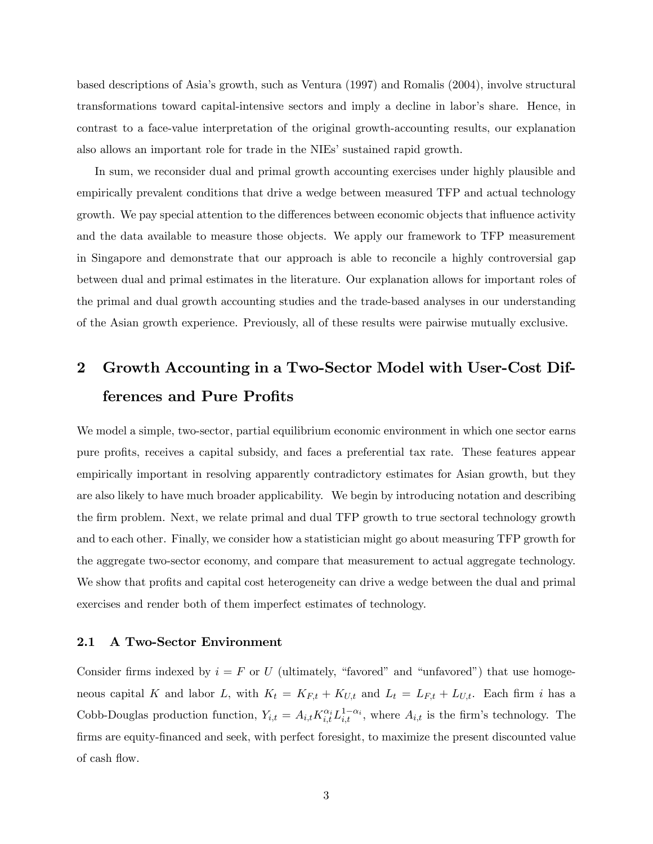based descriptions of Asiaís growth, such as Ventura (1997) and Romalis (2004), involve structural transformations toward capital-intensive sectors and imply a decline in laborís share. Hence, in contrast to a face-value interpretation of the original growth-accounting results, our explanation also allows an important role for trade in the NIEs' sustained rapid growth.

In sum, we reconsider dual and primal growth accounting exercises under highly plausible and empirically prevalent conditions that drive a wedge between measured TFP and actual technology growth. We pay special attention to the differences between economic objects that influence activity and the data available to measure those objects. We apply our framework to TFP measurement in Singapore and demonstrate that our approach is able to reconcile a highly controversial gap between dual and primal estimates in the literature. Our explanation allows for important roles of the primal and dual growth accounting studies and the trade-based analyses in our understanding of the Asian growth experience. Previously, all of these results were pairwise mutually exclusive.

# 2 Growth Accounting in a Two-Sector Model with User-Cost Differences and Pure Profits

We model a simple, two-sector, partial equilibrium economic environment in which one sector earns pure profits, receives a capital subsidy, and faces a preferential tax rate. These features appear empirically important in resolving apparently contradictory estimates for Asian growth, but they are also likely to have much broader applicability. We begin by introducing notation and describing the firm problem. Next, we relate primal and dual TFP growth to true sectoral technology growth and to each other. Finally, we consider how a statistician might go about measuring TFP growth for the aggregate two-sector economy, and compare that measurement to actual aggregate technology. We show that profits and capital cost heterogeneity can drive a wedge between the dual and primal exercises and render both of them imperfect estimates of technology.

## 2.1 A Two-Sector Environment

Consider firms indexed by  $i = F$  or U (ultimately, "favored" and "unfavored") that use homogeneous capital K and labor L, with  $K_t = K_{F,t} + K_{U,t}$  and  $L_t = L_{F,t} + L_{U,t}$ . Each firm i has a Cobb-Douglas production function,  $Y_{i,t} = A_{i,t} K_{i,t}^{\alpha_i} L_{i,t}^{1-\alpha_i}$ , where  $A_{i,t}$  is the firm's technology. The firms are equity-financed and seek, with perfect foresight, to maximize the present discounted value of cash flow.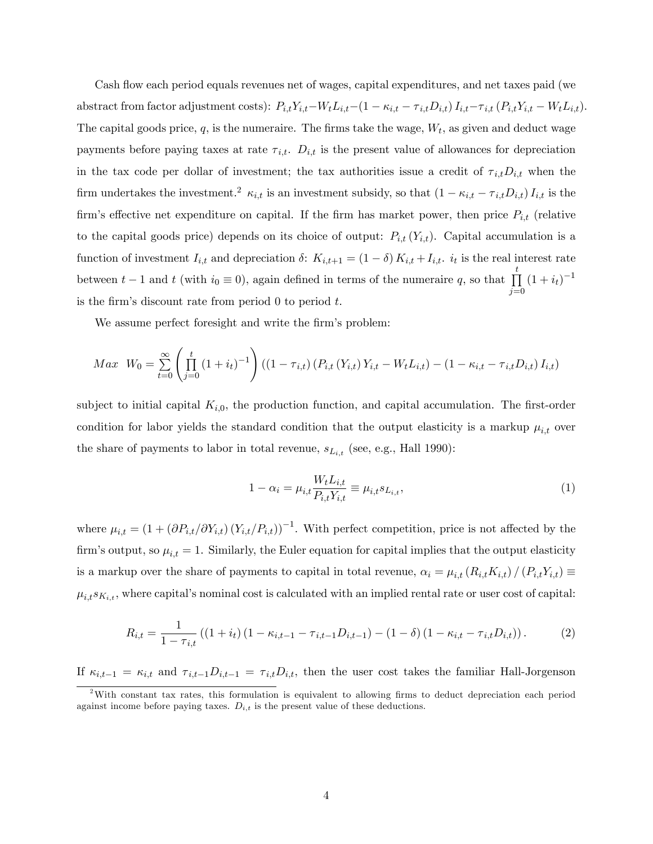Cash flow each period equals revenues net of wages, capital expenditures, and net taxes paid (we abstract from factor adjustment costs):  $P_{i,t}Y_{i,t}-W_tL_{i,t}-(1 - \kappa_{i,t} - \tau_{i,t}D_{i,t}) I_{i,t} - \tau_{i,t} (P_{i,t}Y_{i,t} - W_tL_{i,t}).$ The capital goods price,  $q$ , is the numeraire. The firms take the wage,  $W_t$ , as given and deduct wage payments before paying taxes at rate  $\tau_{i,t}$ .  $D_{i,t}$  is the present value of allowances for depreciation in the tax code per dollar of investment; the tax authorities issue a credit of  $\tau_{i,t}D_{i,t}$  when the firm undertakes the investment.<sup>2</sup>  $\kappa_{i,t}$  is an investment subsidy, so that  $(1 - \kappa_{i,t} - \tau_{i,t}D_{i,t}) I_{i,t}$  is the firm's effective net expenditure on capital. If the firm has market power, then price  $P_{i,t}$  (relative to the capital goods price) depends on its choice of output:  $P_{i,t}(Y_{i,t})$ . Capital accumulation is a function of investment  $I_{i,t}$  and depreciation  $\delta$ :  $K_{i,t+1} = (1 - \delta) K_{i,t} + I_{i,t}$ .  $i_t$  is the real interest rate between  $t-1$  and  $t$  (with  $i_0 \equiv 0$ ), again defined in terms of the numeraire q, so that  $\prod_{i=1}^{t}$  $j=0$  $(1+i_t)^{-1}$ is the firm's discount rate from period  $\theta$  to period  $t$ .

We assume perfect foresight and write the firm's problem:

$$
Max \ W_0 = \sum_{t=0}^{\infty} \left( \prod_{j=0}^{t} (1+i_t)^{-1} \right) ((1-\tau_{i,t}) (P_{i,t} (Y_{i,t}) Y_{i,t} - W_t L_{i,t}) - (1-\kappa_{i,t} - \tau_{i,t} D_{i,t}) I_{i,t})
$$

subject to initial capital  $K_{i,0}$ , the production function, and capital accumulation. The first-order condition for labor yields the standard condition that the output elasticity is a markup  $\mu_{i,t}$  over the share of payments to labor in total revenue,  $s_{L_{i,t}}$  (see, e.g., Hall 1990):

$$
1 - \alpha_i = \mu_{i,t} \frac{W_t L_{i,t}}{P_{i,t} Y_{i,t}} \equiv \mu_{i,t} s_{L_{i,t}},
$$
\n(1)

where  $\mu_{i,t} = (1 + (\partial P_{i,t}/\partial Y_{i,t}) (Y_{i,t}/P_{i,t}))^{-1}$ . With perfect competition, price is not affected by the firm's output, so  $\mu_{i,t} = 1$ . Similarly, the Euler equation for capital implies that the output elasticity is a markup over the share of payments to capital in total revenue,  $\alpha_i = \mu_{i,t} (R_{i,t}K_{i,t}) / (P_{i,t}Y_{i,t}) \equiv$  $\mu_{i,t} s_{K_{i,t}}$ , where capital's nominal cost is calculated with an implied rental rate or user cost of capital:

$$
R_{i,t} = \frac{1}{1 - \tau_{i,t}} \left( (1 + i_t) \left( 1 - \kappa_{i,t-1} - \tau_{i,t-1} D_{i,t-1} \right) - (1 - \delta) \left( 1 - \kappa_{i,t} - \tau_{i,t} D_{i,t} \right) \right). \tag{2}
$$

If  $\kappa_{i,t-1} = \kappa_{i,t}$  and  $\tau_{i,t-1}D_{i,t-1} = \tau_{i,t}D_{i,t}$ , then the user cost takes the familiar Hall-Jorgenson

<sup>&</sup>lt;sup>2</sup>With constant tax rates, this formulation is equivalent to allowing firms to deduct depreciation each period against income before paying taxes.  $D_{i,t}$  is the present value of these deductions.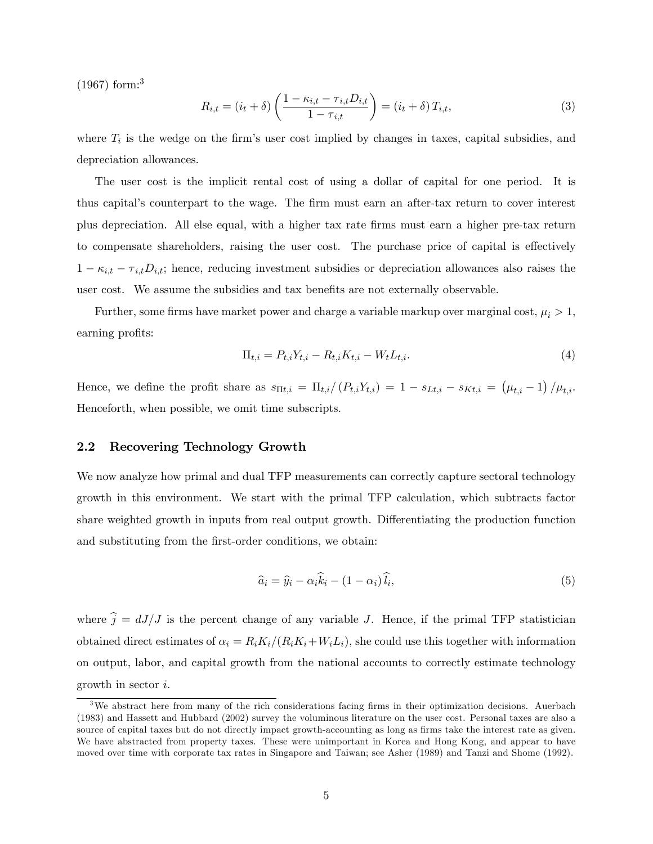(1967) form:<sup>3</sup>

$$
R_{i,t} = (i_t + \delta) \left( \frac{1 - \kappa_{i,t} - \tau_{i,t} D_{i,t}}{1 - \tau_{i,t}} \right) = (i_t + \delta) T_{i,t},
$$
\n(3)

where  $T_i$  is the wedge on the firm's user cost implied by changes in taxes, capital subsidies, and depreciation allowances.

The user cost is the implicit rental cost of using a dollar of capital for one period. It is thus capitalís counterpart to the wage. The Örm must earn an after-tax return to cover interest plus depreciation. All else equal, with a higher tax rate Örms must earn a higher pre-tax return to compensate shareholders, raising the user cost. The purchase price of capital is effectively  $1 - \kappa_{i,t} - \tau_{i,t}D_{i,t}$ ; hence, reducing investment subsidies or depreciation allowances also raises the user cost. We assume the subsidies and tax benefits are not externally observable.

Further, some firms have market power and charge a variable markup over marginal cost,  $\mu_i > 1$ , earning profits:

$$
\Pi_{t,i} = P_{t,i} Y_{t,i} - R_{t,i} K_{t,i} - W_t L_{t,i}.
$$
\n(4)

Hence, we define the profit share as  $s_{\Pi t,i} = \prod_{t,i}/(P_{t,i}Y_{t,i}) = 1 - s_{Lt,i} - s_{Kt,i} = (\mu_{t,i} - 1)/\mu_{t,i}$ . Henceforth, when possible, we omit time subscripts.

#### 2.2 Recovering Technology Growth

We now analyze how primal and dual TFP measurements can correctly capture sectoral technology growth in this environment. We start with the primal TFP calculation, which subtracts factor share weighted growth in inputs from real output growth. Differentiating the production function and substituting from the first-order conditions, we obtain:

$$
\widehat{a}_i = \widehat{y}_i - \alpha_i \widehat{k}_i - (1 - \alpha_i) \widehat{l}_i,\tag{5}
$$

where  $\hat{j} = dJ/J$  is the percent change of any variable J. Hence, if the primal TFP statistician obtained direct estimates of  $\alpha_i = R_i K_i/(R_i K_i + W_i L_i)$ , she could use this together with information on output, labor, and capital growth from the national accounts to correctly estimate technology growth in sector i.

<sup>&</sup>lt;sup>3</sup>We abstract here from many of the rich considerations facing firms in their optimization decisions. Auerbach (1983) and Hassett and Hubbard (2002) survey the voluminous literature on the user cost. Personal taxes are also a source of capital taxes but do not directly impact growth-accounting as long as firms take the interest rate as given. We have abstracted from property taxes. These were unimportant in Korea and Hong Kong, and appear to have moved over time with corporate tax rates in Singapore and Taiwan; see Asher (1989) and Tanzi and Shome (1992).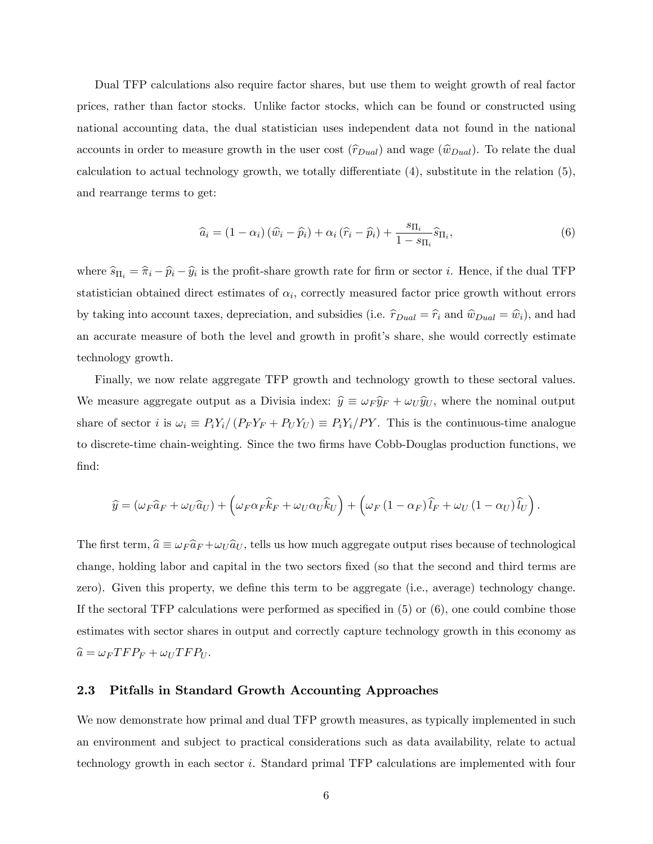Dual TFP calculations also require factor shares, but use them to weight growth of real factor prices, rather than factor stocks. Unlike factor stocks, which can be found or constructed using national accounting data, the dual statistician uses independent data not found in the national accounts in order to measure growth in the user cost  $(\hat{r}_{Dual})$  and wage  $(\hat{w}_{Dual})$ . To relate the dual calculation to actual technology growth, we totally differentiate  $(4)$ , substitute in the relation  $(5)$ , and rearrange terms to get:

$$
\widehat{a}_{i} = (1 - \alpha_{i}) \left( \widehat{w}_{i} - \widehat{p}_{i} \right) + \alpha_{i} \left( \widehat{r}_{i} - \widehat{p}_{i} \right) + \frac{s_{\Pi_{i}}}{1 - s_{\Pi_{i}}} \widehat{s}_{\Pi_{i}},\tag{6}
$$

where  $\hat{s}_{\Pi_i} = \hat{\pi}_i - \hat{p}_i - \hat{y}_i$  is the profit-share growth rate for firm or sector *i*. Hence, if the dual TFP statistician obtained direct estimates of  $\alpha_i$ , correctly measured factor price growth without errors by taking into account taxes, depreciation, and subsidies (i.e.  $\hat{r}_{Dual} = \hat{r}_i$  and  $\hat{w}_{Dual} = \hat{w}_i$ ), and had an accurate measure of both the level and growth in profit's share, she would correctly estimate technology growth.

Finally, we now relate aggregate TFP growth and technology growth to these sectoral values. We measure aggregate output as a Divisia index:  $\hat{y} \equiv \omega_F \hat{y}_F + \omega_U \hat{y}_U$ , where the nominal output share of sector i is  $\omega_i \equiv P_i Y_i / (P_F Y_F + P_U Y_U) \equiv P_i Y_i / P Y$ . This is the continuous-time analogue to discrete-time chain-weighting. Since the two firms have Cobb-Douglas production functions, we find:

$$
\widehat{y} = (\omega_F \widehat{a}_F + \omega_U \widehat{a}_U) + (\omega_F \alpha_F \widehat{k}_F + \omega_U \alpha_U \widehat{k}_U) + (\omega_F (1 - \alpha_F) \widehat{l}_F + \omega_U (1 - \alpha_U) \widehat{l}_U).
$$

The first term,  $\hat{a} \equiv \omega_F \hat{a}_F + \omega_U \hat{a}_U$ , tells us how much aggregate output rises because of technological change, holding labor and capital in the two sectors Öxed (so that the second and third terms are zero). Given this property, we define this term to be aggregate (i.e., average) technology change. If the sectoral TFP calculations were performed as specified in  $(5)$  or  $(6)$ , one could combine those estimates with sector shares in output and correctly capture technology growth in this economy as  $\widehat{a} = \omega_F T F P_F + \omega_U T F P_U.$ 

## 2.3 Pitfalls in Standard Growth Accounting Approaches

We now demonstrate how primal and dual TFP growth measures, as typically implemented in such an environment and subject to practical considerations such as data availability, relate to actual technology growth in each sector i. Standard primal TFP calculations are implemented with four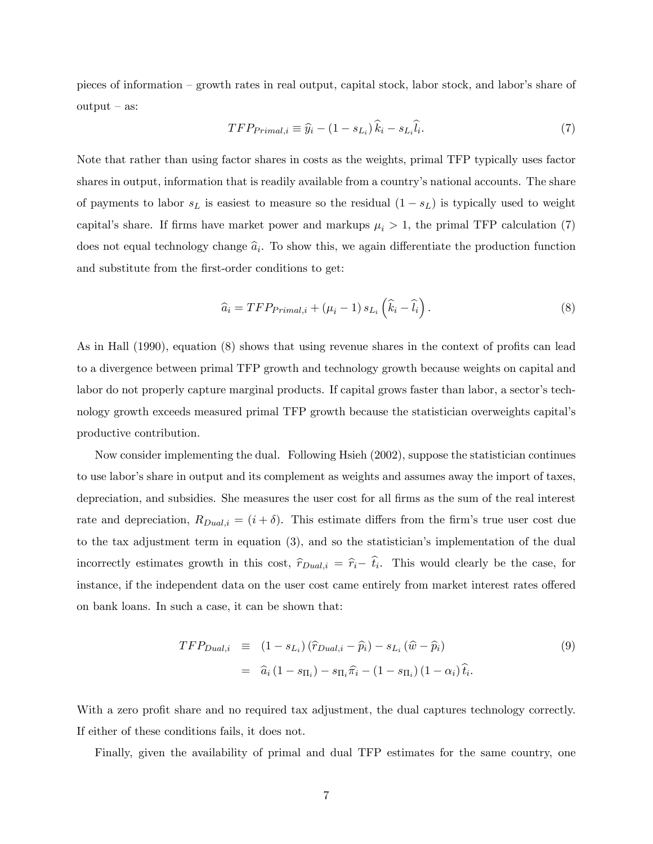pieces of information – growth rates in real output, capital stock, labor stock, and labor's share of  $output - as:$ 

$$
TFP_{Primal,i} \equiv \hat{y}_i - (1 - s_{Li})\hat{k}_i - s_{Li}\hat{l}_i. \tag{7}
$$

Note that rather than using factor shares in costs as the weights, primal TFP typically uses factor shares in output, information that is readily available from a country's national accounts. The share of payments to labor  $s<sub>L</sub>$  is easiest to measure so the residual  $(1 - s<sub>L</sub>)$  is typically used to weight capital's share. If firms have market power and markups  $\mu_i > 1$ , the primal TFP calculation (7) does not equal technology change  $\hat{a}_i$ . To show this, we again differentiate the production function and substitute from the first-order conditions to get:

$$
\widehat{a}_i = TFP_{Primal,i} + (\mu_i - 1) s_{L_i} (\widehat{k}_i - \widehat{l}_i).
$$
\n(8)

As in Hall  $(1990)$ , equation  $(8)$  shows that using revenue shares in the context of profits can lead to a divergence between primal TFP growth and technology growth because weights on capital and labor do not properly capture marginal products. If capital grows faster than labor, a sector's technology growth exceeds measured primal TFP growth because the statistician overweights capitalís productive contribution.

Now consider implementing the dual. Following Hsieh (2002), suppose the statistician continues to use laborís share in output and its complement as weights and assumes away the import of taxes, depreciation, and subsidies. She measures the user cost for all firms as the sum of the real interest rate and depreciation,  $R_{Dual,i} = (i + \delta)$ . This estimate differs from the firm's true user cost due to the tax adjustment term in equation  $(3)$ , and so the statistician's implementation of the dual incorrectly estimates growth in this cost,  $\hat{r}_{Dual,i} = \hat{r}_i - \hat{t}_i$ . This would clearly be the case, for instance, if the independent data on the user cost came entirely from market interest rates offered on bank loans. In such a case, it can be shown that:

$$
TFP_{Dual,i} \equiv (1 - s_{Li}) (\hat{r}_{Dual,i} - \hat{p}_i) - s_{Li} (\hat{w} - \hat{p}_i)
$$
  

$$
= \hat{a}_i (1 - s_{\Pi_i}) - s_{\Pi_i} \hat{\pi}_i - (1 - s_{\Pi_i}) (1 - \alpha_i) \hat{t}_i.
$$
 (9)

With a zero profit share and no required tax adjustment, the dual captures technology correctly. If either of these conditions fails, it does not.

Finally, given the availability of primal and dual TFP estimates for the same country, one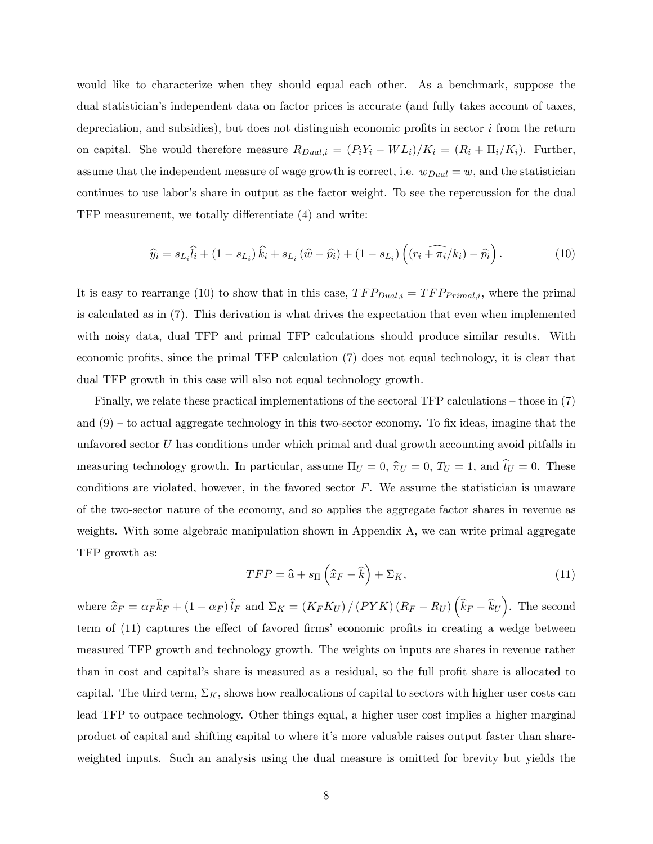would like to characterize when they should equal each other. As a benchmark, suppose the dual statisticianís independent data on factor prices is accurate (and fully takes account of taxes, depreciation, and subsidies), but does not distinguish economic profits in sector  $i$  from the return on capital. She would therefore measure  $R_{Dual,i} = (P_i Y_i - WL_i)/K_i = (R_i + \Pi_i/K_i)$ . Further, assume that the independent measure of wage growth is correct, i.e.  $w_{Dual} = w$ , and the statistician continues to use labor's share in output as the factor weight. To see the repercussion for the dual TFP measurement, we totally differentiate  $(4)$  and write:

$$
\widehat{y}_i = s_{L_i}\widehat{l}_i + (1 - s_{L_i})\widehat{k}_i + s_{L_i}(\widehat{w} - \widehat{p}_i) + (1 - s_{L_i})\left((r_i + \widehat{\pi_i}/k_i) - \widehat{p}_i\right). \tag{10}
$$

It is easy to rearrange (10) to show that in this case,  $TFP_{Dual,i} = TFP_{Primal,i}$ , where the primal is calculated as in (7). This derivation is what drives the expectation that even when implemented with noisy data, dual TFP and primal TFP calculations should produce similar results. With economic profits, since the primal TFP calculation  $(7)$  does not equal technology, it is clear that dual TFP growth in this case will also not equal technology growth.

Finally, we relate these practical implementations of the sectoral TFP calculations  $-$  those in (7) and  $(9)$  – to actual aggregate technology in this two-sector economy. To fix ideas, imagine that the unfavored sector  $U$  has conditions under which primal and dual growth accounting avoid pitfalls in measuring technology growth. In particular, assume  $\Pi_U = 0$ ,  $\hat{\pi}_U = 0$ ,  $T_U = 1$ , and  $\hat{t}_U = 0$ . These conditions are violated, however, in the favored sector  $F$ . We assume the statistician is unaware of the two-sector nature of the economy, and so applies the aggregate factor shares in revenue as weights. With some algebraic manipulation shown in Appendix A, we can write primal aggregate TFP growth as:

$$
TFP = \hat{a} + s_{\Pi} \left( \hat{x}_F - \hat{k} \right) + \Sigma_K, \tag{11}
$$

where  $\hat{x}_F = \alpha_F \hat{k}_F + (1 - \alpha_F) \hat{l}_F$  and  $\Sigma_K = (K_F K_U) / (PYK) (R_F - R_U) (\hat{k}_F - \hat{k}_U)$ . The second term of (11) captures the effect of favored firms' economic profits in creating a wedge between measured TFP growth and technology growth. The weights on inputs are shares in revenue rather than in cost and capital's share is measured as a residual, so the full profit share is allocated to capital. The third term,  $\Sigma_K$ , shows how reallocations of capital to sectors with higher user costs can lead TFP to outpace technology. Other things equal, a higher user cost implies a higher marginal product of capital and shifting capital to where itís more valuable raises output faster than shareweighted inputs. Such an analysis using the dual measure is omitted for brevity but yields the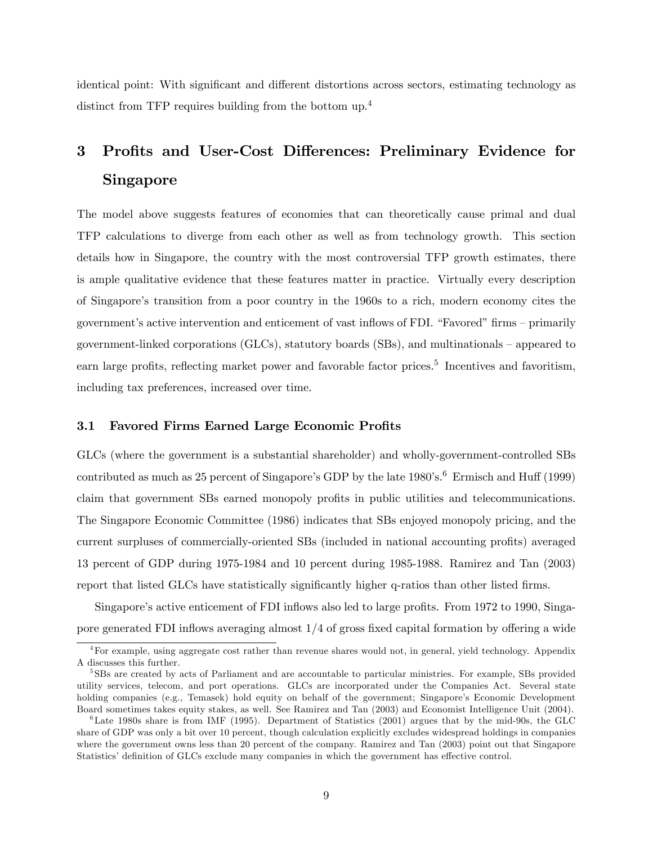identical point: With significant and different distortions across sectors, estimating technology as distinct from TFP requires building from the bottom up.<sup>4</sup>

# 3 Profits and User-Cost Differences: Preliminary Evidence for Singapore

The model above suggests features of economies that can theoretically cause primal and dual TFP calculations to diverge from each other as well as from technology growth. This section details how in Singapore, the country with the most controversial TFP growth estimates, there is ample qualitative evidence that these features matter in practice. Virtually every description of Singaporeís transition from a poor country in the 1960s to a rich, modern economy cites the government's active intervention and enticement of vast inflows of FDI. "Favored" firms – primarily government-linked corporations (GLCs), statutory boards (SBs), and multinationals  $-$  appeared to earn large profits, reflecting market power and favorable factor prices.<sup>5</sup> Incentives and favoritism, including tax preferences, increased over time.

## 3.1 Favored Firms Earned Large Economic Profits

GLCs (where the government is a substantial shareholder) and wholly-government-controlled SBs contributed as much as 25 percent of Singapore's GDP by the late  $1980$ 's.<sup>6</sup> Ermisch and Huff (1999) claim that government SBs earned monopoly profits in public utilities and telecommunications. The Singapore Economic Committee (1986) indicates that SBs enjoyed monopoly pricing, and the current surpluses of commercially-oriented SBs (included in national accounting profits) averaged 13 percent of GDP during 1975-1984 and 10 percent during 1985-1988. Ramirez and Tan (2003) report that listed GLCs have statistically significantly higher q-ratios than other listed firms.

Singapore's active enticement of FDI inflows also led to large profits. From 1972 to 1990, Singapore generated FDI inflows averaging almost  $1/4$  of gross fixed capital formation by offering a wide

 ${}^{4}$ For example, using aggregate cost rather than revenue shares would not, in general, yield technology. Appendix A discusses this further.

<sup>5</sup> SBs are created by acts of Parliament and are accountable to particular ministries. For example, SBs provided utility services, telecom, and port operations. GLCs are incorporated under the Companies Act. Several state holding companies (e.g., Temasek) hold equity on behalf of the government; Singapore's Economic Development Board sometimes takes equity stakes, as well. See Ramirez and Tan (2003) and Economist Intelligence Unit (2004).

 $6$ Late 1980s share is from IMF (1995). Department of Statistics (2001) argues that by the mid-90s, the GLC share of GDP was only a bit over 10 percent, though calculation explicitly excludes widespread holdings in companies where the government owns less than 20 percent of the company. Ramirez and Tan (2003) point out that Singapore Statistics' definition of GLCs exclude many companies in which the government has effective control.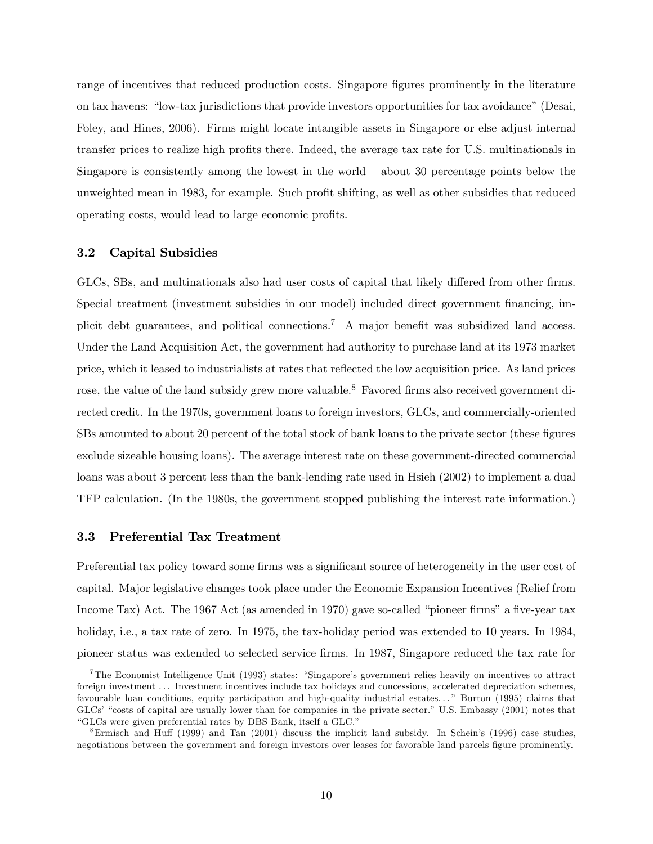range of incentives that reduced production costs. Singapore figures prominently in the literature on tax havens: "low-tax jurisdictions that provide investors opportunities for tax avoidance" (Desai, Foley, and Hines, 2006). Firms might locate intangible assets in Singapore or else adjust internal transfer prices to realize high profits there. Indeed, the average tax rate for U.S. multinationals in Singapore is consistently among the lowest in the world  $-$  about 30 percentage points below the unweighted mean in 1983, for example. Such profit shifting, as well as other subsidies that reduced operating costs, would lead to large economic profits.

### 3.2 Capital Subsidies

GLCs, SBs, and multinationals also had user costs of capital that likely differed from other firms. Special treatment (investment subsidies in our model) included direct government financing, implicit debt guarantees, and political connections.<sup>7</sup> A major benefit was subsidized land access. Under the Land Acquisition Act, the government had authority to purchase land at its 1973 market price, which it leased to industrialists at rates that reflected the low acquisition price. As land prices rose, the value of the land subsidy grew more valuable.<sup>8</sup> Favored firms also received government directed credit. In the 1970s, government loans to foreign investors, GLCs, and commercially-oriented SBs amounted to about 20 percent of the total stock of bank loans to the private sector (these figures exclude sizeable housing loans). The average interest rate on these government-directed commercial loans was about 3 percent less than the bank-lending rate used in Hsieh (2002) to implement a dual TFP calculation. (In the 1980s, the government stopped publishing the interest rate information.)

#### 3.3 Preferential Tax Treatment

Preferential tax policy toward some firms was a significant source of heterogeneity in the user cost of capital. Major legislative changes took place under the Economic Expansion Incentives (Relief from Income Tax) Act. The 1967 Act (as amended in 1970) gave so-called "pioneer firms" a five-year tax holiday, i.e., a tax rate of zero. In 1975, the tax-holiday period was extended to 10 years. In 1984, pioneer status was extended to selected service firms. In 1987, Singapore reduced the tax rate for

<sup>&</sup>lt;sup>7</sup>The Economist Intelligence Unit (1993) states: "Singapore's government relies heavily on incentives to attract foreign investment . . . Investment incentives include tax holidays and concessions, accelerated depreciation schemes, favourable loan conditions, equity participation and high-quality industrial estates..." Burton (1995) claims that GLCs' "costs of capital are usually lower than for companies in the private sector." U.S. Embassy (2001) notes that "GLCs were given preferential rates by DBS Bank, itself a GLC."

 $8$ Ermisch and Huff (1999) and Tan (2001) discuss the implicit land subsidy. In Schein's (1996) case studies, negotiations between the government and foreign investors over leases for favorable land parcels figure prominently.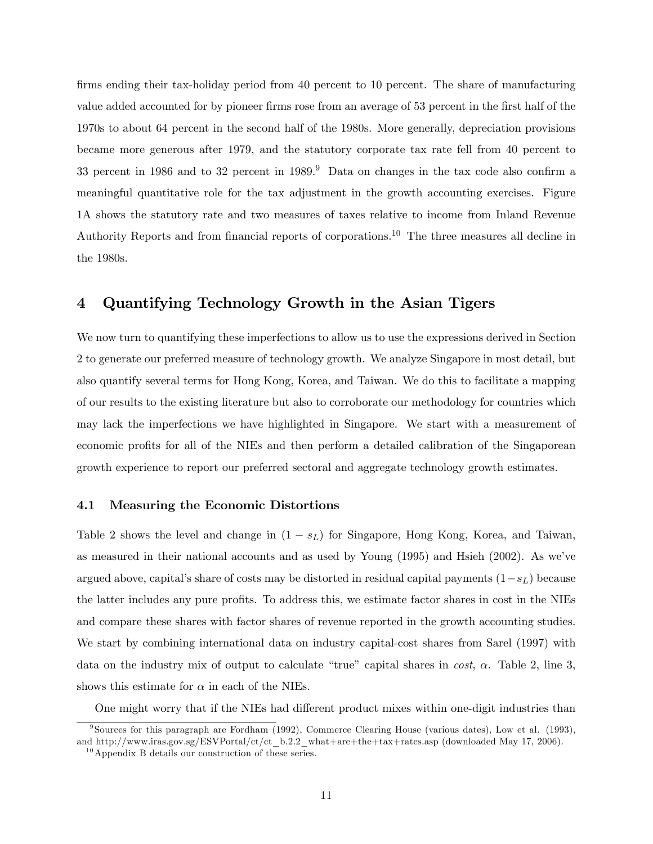firms ending their tax-holiday period from 40 percent to 10 percent. The share of manufacturing value added accounted for by pioneer firms rose from an average of 53 percent in the first half of the 1970s to about 64 percent in the second half of the 1980s. More generally, depreciation provisions became more generous after 1979, and the statutory corporate tax rate fell from 40 percent to 33 percent in 1986 and to 32 percent in  $1989<sup>9</sup>$  Data on changes in the tax code also confirm a meaningful quantitative role for the tax adjustment in the growth accounting exercises. Figure 1A shows the statutory rate and two measures of taxes relative to income from Inland Revenue Authority Reports and from financial reports of corporations.<sup>10</sup> The three measures all decline in the 1980s.

# 4 Quantifying Technology Growth in the Asian Tigers

We now turn to quantifying these imperfections to allow us to use the expressions derived in Section 2 to generate our preferred measure of technology growth. We analyze Singapore in most detail, but also quantify several terms for Hong Kong, Korea, and Taiwan. We do this to facilitate a mapping of our results to the existing literature but also to corroborate our methodology for countries which may lack the imperfections we have highlighted in Singapore. We start with a measurement of economic profits for all of the NIEs and then perform a detailed calibration of the Singaporean growth experience to report our preferred sectoral and aggregate technology growth estimates.

#### 4.1 Measuring the Economic Distortions

Table 2 shows the level and change in  $(1 - s_L)$  for Singapore, Hong Kong, Korea, and Taiwan, as measured in their national accounts and as used by Young  $(1995)$  and Hsieh  $(2002)$ . As we've argued above, capital's share of costs may be distorted in residual capital payments  $(1-s_L)$  because the latter includes any pure profits. To address this, we estimate factor shares in cost in the NIEs and compare these shares with factor shares of revenue reported in the growth accounting studies. We start by combining international data on industry capital-cost shares from Sarel (1997) with data on the industry mix of output to calculate "true" capital shares in  $cost$ ,  $\alpha$ . Table 2, line 3, shows this estimate for  $\alpha$  in each of the NIEs.

One might worry that if the NIEs had different product mixes within one-digit industries than

<sup>9</sup> Sources for this paragraph are Fordham (1992), Commerce Clearing House (various dates), Low et al. (1993), and http://www.iras.gov.sg/ESVPortal/ct/ct\_b.2.2\_what+are+the+tax+rates.asp (downloaded May 17, 2006).

 $10$  Appendix B details our construction of these series.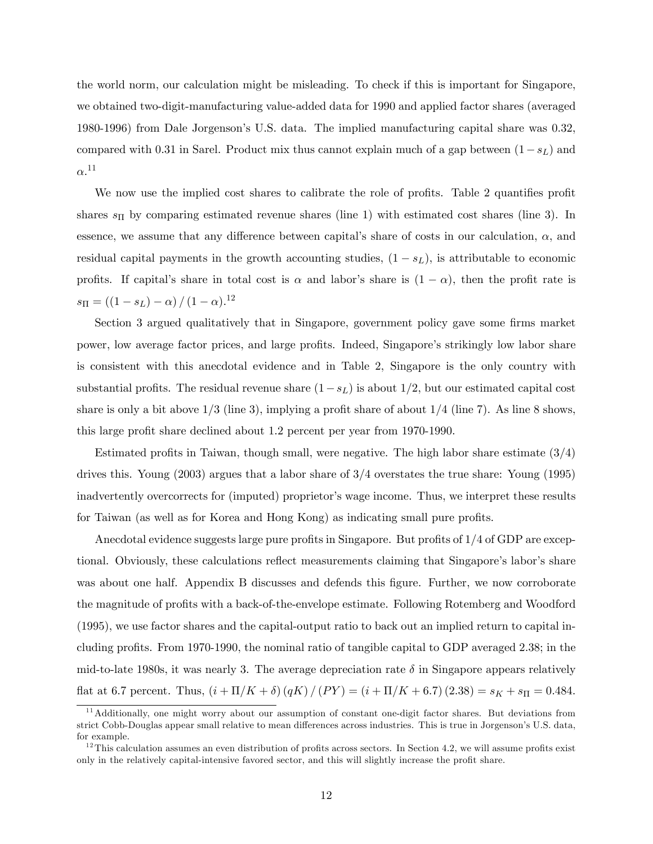the world norm, our calculation might be misleading. To check if this is important for Singapore, we obtained two-digit-manufacturing value-added data for 1990 and applied factor shares (averaged 1980-1996) from Dale Jorgensonís U.S. data. The implied manufacturing capital share was 0.32, compared with 0.31 in Sarel. Product mix thus cannot explain much of a gap between  $(1-s_L)$  and  $\alpha$ <sup>11</sup>

We now use the implied cost shares to calibrate the role of profits. Table 2 quantifies profit shares  $s_{\Pi}$  by comparing estimated revenue shares (line 1) with estimated cost shares (line 3). In essence, we assume that any difference between capital's share of costs in our calculation,  $\alpha$ , and residual capital payments in the growth accounting studies,  $(1 - s_L)$ , is attributable to economic profits. If capital's share in total cost is  $\alpha$  and labor's share is  $(1 - \alpha)$ , then the profit rate is  $s_{\Pi} = ((1 - s_L) - \alpha) / (1 - \alpha).^{12}$ 

Section 3 argued qualitatively that in Singapore, government policy gave some firms market power, low average factor prices, and large profits. Indeed, Singapore's strikingly low labor share is consistent with this anecdotal evidence and in Table 2, Singapore is the only country with substantial profits. The residual revenue share  $(1-s_L)$  is about 1/2, but our estimated capital cost share is only a bit above  $1/3$  (line 3), implying a profit share of about  $1/4$  (line 7). As line 8 shows, this large profit share declined about 1.2 percent per year from 1970-1990.

Estimated profits in Taiwan, though small, were negative. The high labor share estimate  $(3/4)$ drives this. Young (2003) argues that a labor share of 3/4 overstates the true share: Young (1995) inadvertently overcorrects for (imputed) proprietor's wage income. Thus, we interpret these results for Taiwan (as well as for Korea and Hong Kong) as indicating small pure profits.

Anecdotal evidence suggests large pure profits in Singapore. But profits of  $1/4$  of GDP are exceptional. Obviously, these calculations reflect measurements claiming that Singapore's labor's share was about one half. Appendix B discusses and defends this figure. Further, we now corroborate the magnitude of profits with a back-of-the-envelope estimate. Following Rotemberg and Woodford (1995), we use factor shares and the capital-output ratio to back out an implied return to capital including profits. From 1970-1990, the nominal ratio of tangible capital to GDP averaged 2.38; in the mid-to-late 1980s, it was nearly 3. The average depreciation rate  $\delta$  in Singapore appears relatively flat at 6.7 percent. Thus,  $(i + \Pi/K + \delta) (qK) / (PY) = (i + \Pi/K + 6.7) (2.38) = s<sub>K</sub> + s<sub>II</sub> = 0.484$ .

<sup>&</sup>lt;sup>11</sup> Additionally, one might worry about our assumption of constant one-digit factor shares. But deviations from strict Cobb-Douglas appear small relative to mean differences across industries. This is true in Jorgenson's U.S. data, for example.

 $12$ This calculation assumes an even distribution of profits across sectors. In Section 4.2, we will assume profits exist only in the relatively capital-intensive favored sector, and this will slightly increase the profit share.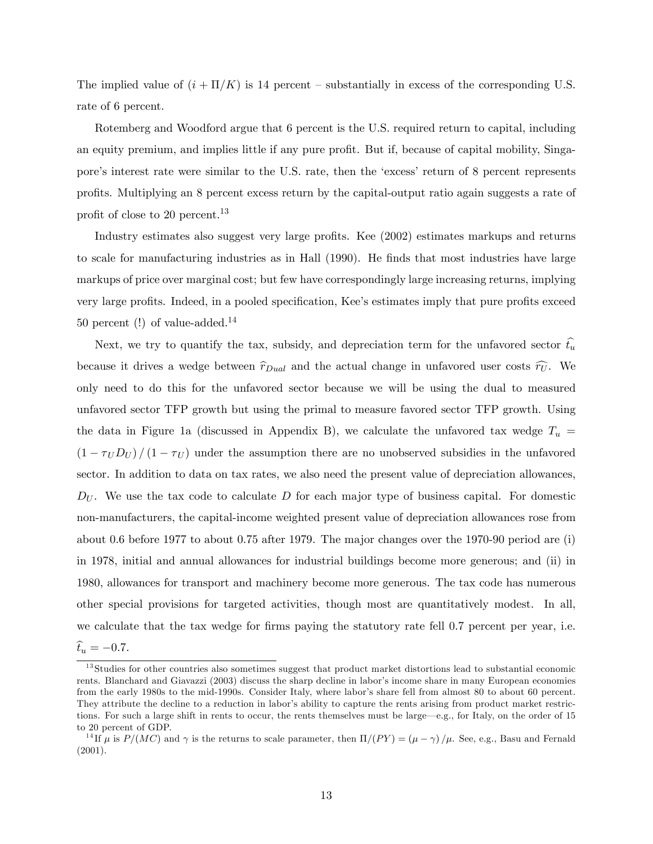The implied value of  $(i + \Pi/K)$  is 14 percent – substantially in excess of the corresponding U.S. rate of 6 percent.

Rotemberg and Woodford argue that 6 percent is the U.S. required return to capital, including an equity premium, and implies little if any pure profit. But if, because of capital mobility, Singapore's interest rate were similar to the U.S. rate, then the 'excess' return of 8 percent represents proÖts. Multiplying an 8 percent excess return by the capital-output ratio again suggests a rate of profit of close to 20 percent.<sup>13</sup>

Industry estimates also suggest very large profits. Kee (2002) estimates markups and returns to scale for manufacturing industries as in Hall (1990). He finds that most industries have large markups of price over marginal cost; but few have correspondingly large increasing returns, implying very large profits. Indeed, in a pooled specification, Kee's estimates imply that pure profits exceed 50 percent (!) of value-added.<sup>14</sup>

Next, we try to quantify the tax, subsidy, and depreciation term for the unfavored sector  $\hat{t_u}$ because it drives a wedge between  $\hat{r}_{Dual}$  and the actual change in unfavored user costs  $\hat{r}_{U}$ . We only need to do this for the unfavored sector because we will be using the dual to measured unfavored sector TFP growth but using the primal to measure favored sector TFP growth. Using the data in Figure 1a (discussed in Appendix B), we calculate the unfavored tax wedge  $T_u$  =  $(1 - \tau_U D_U) / (1 - \tau_U)$  under the assumption there are no unobserved subsidies in the unfavored sector. In addition to data on tax rates, we also need the present value of depreciation allowances,  $D_U$ . We use the tax code to calculate D for each major type of business capital. For domestic non-manufacturers, the capital-income weighted present value of depreciation allowances rose from about 0.6 before 1977 to about 0.75 after 1979. The major changes over the 1970-90 period are (i) in 1978, initial and annual allowances for industrial buildings become more generous; and (ii) in 1980, allowances for transport and machinery become more generous. The tax code has numerous other special provisions for targeted activities, though most are quantitatively modest. In all, we calculate that the tax wedge for firms paying the statutory rate fell 0.7 percent per year, i.e.  $\hat{t}_u = -0.7.$ 

 $13$ Studies for other countries also sometimes suggest that product market distortions lead to substantial economic rents. Blanchard and Giavazzi (2003) discuss the sharp decline in labor's income share in many European economies from the early 1980s to the mid-1990s. Consider Italy, where labor's share fell from almost 80 to about 60 percent. They attribute the decline to a reduction in labor's ability to capture the rents arising from product market restrictions. For such a large shift in rents to occur, the rents themselves must be large—e.g., for Italy, on the order of 15 to 20 percent of GDP.

<sup>&</sup>lt;sup>14</sup>If  $\mu$  is  $P/(MC)$  and  $\gamma$  is the returns to scale parameter, then  $\Pi/(PY) = (\mu - \gamma)/\mu$ . See, e.g., Basu and Fernald (2001).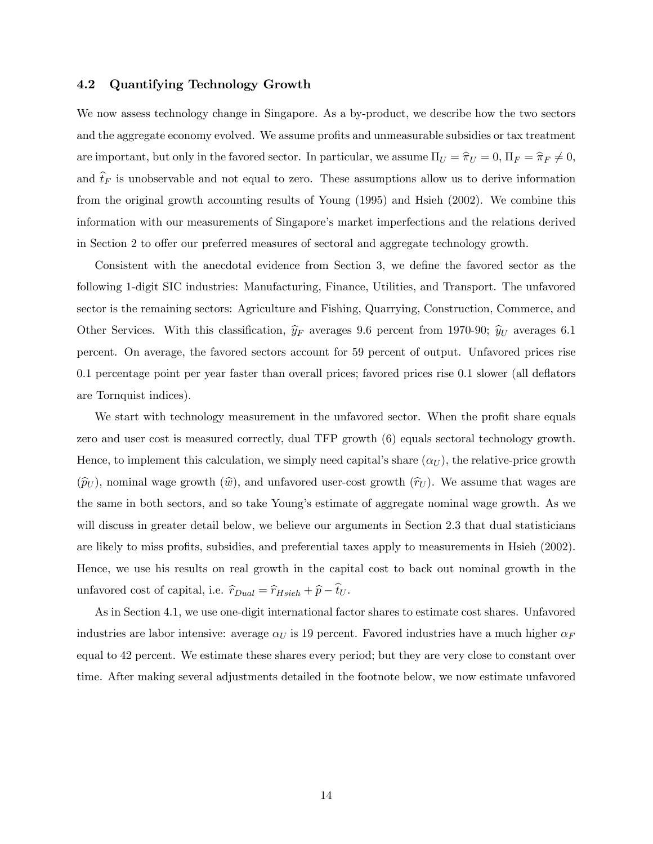## 4.2 Quantifying Technology Growth

We now assess technology change in Singapore. As a by-product, we describe how the two sectors and the aggregate economy evolved. We assume profits and unmeasurable subsidies or tax treatment are important, but only in the favored sector. In particular, we assume  $\Pi_U = \hat{\pi}_U = 0$ ,  $\Pi_F = \hat{\pi}_F \neq 0$ , and  $t_F$  is unobservable and not equal to zero. These assumptions allow us to derive information from the original growth accounting results of Young (1995) and Hsieh (2002). We combine this information with our measurements of Singapore's market imperfections and the relations derived in Section 2 to offer our preferred measures of sectoral and aggregate technology growth.

Consistent with the anecdotal evidence from Section 3, we define the favored sector as the following 1-digit SIC industries: Manufacturing, Finance, Utilities, and Transport. The unfavored sector is the remaining sectors: Agriculture and Fishing, Quarrying, Construction, Commerce, and Other Services. With this classification,  $\hat{y}_F$  averages 9.6 percent from 1970-90;  $\hat{y}_U$  averages 6.1 percent. On average, the favored sectors account for 59 percent of output. Unfavored prices rise 0.1 percentage point per year faster than overall prices; favored prices rise 0.1 slower (all deáators are Tornquist indices).

We start with technology measurement in the unfavored sector. When the profit share equals zero and user cost is measured correctly, dual TFP growth (6) equals sectoral technology growth. Hence, to implement this calculation, we simply need capital's share  $(\alpha_U)$ , the relative-price growth  $(\widehat{p}_U)$ , nominal wage growth  $(\widehat{w})$ , and unfavored user-cost growth  $(\widehat{r}_U)$ . We assume that wages are the same in both sectors, and so take Young's estimate of aggregate nominal wage growth. As we will discuss in greater detail below, we believe our arguments in Section 2.3 that dual statisticians are likely to miss profits, subsidies, and preferential taxes apply to measurements in Hsieh (2002). Hence, we use his results on real growth in the capital cost to back out nominal growth in the unfavored cost of capital, i.e.  $\hat{r}_{Dual} = \hat{r}_{Hsieh} + \hat{p} - \hat{t}_U$ .

As in Section 4.1, we use one-digit international factor shares to estimate cost shares. Unfavored industries are labor intensive: average  $\alpha_U$  is 19 percent. Favored industries have a much higher  $\alpha_F$ equal to 42 percent. We estimate these shares every period; but they are very close to constant over time. After making several adjustments detailed in the footnote below, we now estimate unfavored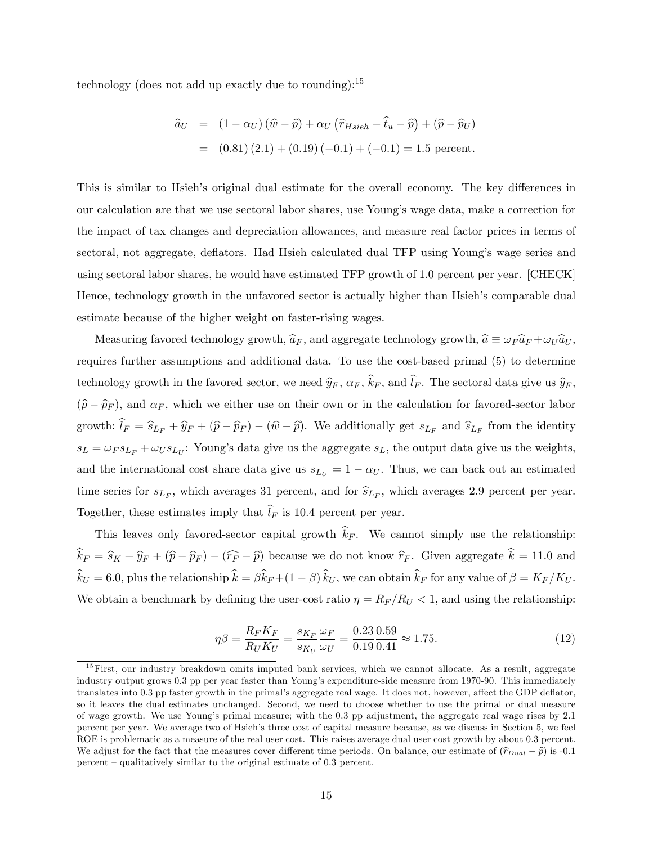technology (does not add up exactly due to rounding):  $15$ 

$$
\begin{aligned}\n\hat{a}_U &= (1 - \alpha_U) \left( \hat{w} - \hat{p} \right) + \alpha_U \left( \hat{r}_{Hsieh} - \hat{t}_u - \hat{p} \right) + (\hat{p} - \hat{p}_U) \\
&= (0.81) (2.1) + (0.19) (-0.1) + (-0.1) = 1.5 \text{ percent.}\n\end{aligned}
$$

This is similar to Hsieh's original dual estimate for the overall economy. The key differences in our calculation are that we use sectoral labor shares, use Youngís wage data, make a correction for the impact of tax changes and depreciation allowances, and measure real factor prices in terms of sectoral, not aggregate, deflators. Had Hsieh calculated dual TFP using Young's wage series and using sectoral labor shares, he would have estimated TFP growth of 1.0 percent per year. [CHECK] Hence, technology growth in the unfavored sector is actually higher than Hsieh's comparable dual estimate because of the higher weight on faster-rising wages.

Measuring favored technology growth,  $\hat{a}_F$ , and aggregate technology growth,  $\hat{a} \equiv \omega_F \hat{a}_F + \omega_U \hat{a}_U$ , requires further assumptions and additional data. To use the cost-based primal (5) to determine technology growth in the favored sector, we need  $\hat{y}_F$ ,  $\alpha_F$ ,  $\hat{k}_F$ , and  $\hat{l}_F$ . The sectoral data give us  $\hat{y}_F$ ,  $(\widehat{p}-\widehat{p}_F)$ , and  $\alpha_F$ , which we either use on their own or in the calculation for favored-sector labor growth:  $l_F = \hat{s}_{L_F} + \hat{y}_F + (\hat{p} - \hat{p}_F) - (\hat{w} - \hat{p})$ . We additionally get  $s_{L_F}$  and  $\hat{s}_{L_F}$  from the identity  $s_L = \omega_F s_{L_F} + \omega_U s_{L_U}$ : Young's data give us the aggregate  $s_L$ , the output data give us the weights, and the international cost share data give us  $s_{L_U} = 1 - \alpha_U$ . Thus, we can back out an estimated time series for  $s_{L_F}$ , which averages 31 percent, and for  $\widehat{s}_{L_F}$ , which averages 2.9 percent per year. Together, these estimates imply that  $\hat{l}_F$  is 10.4 percent per year.

This leaves only favored-sector capital growth  $\hat{k}_F$ . We cannot simply use the relationship:  $\hat{k}_F = \hat{s}_K + \hat{y}_F + (\hat{p}-\hat{p}_F) - (\hat{r}_F - \hat{p})$  because we do not know  $\hat{r}_F$ . Given aggregate  $\hat{k} = 11.0$  and  $\hat{k}_U = 6.0$ , plus the relationship  $\hat{k} = \beta \hat{k}_F + (1 - \beta) \hat{k}_U$ , we can obtain  $\hat{k}_F$  for any value of  $\beta = K_F/K_U$ . We obtain a benchmark by defining the user-cost ratio  $\eta = R_F/R_U < 1$ , and using the relationship:

$$
\eta \beta = \frac{R_F K_F}{R_U K_U} = \frac{s_{K_F}}{s_{K_U}} \frac{\omega_F}{\omega_U} = \frac{0.23}{0.19} \frac{0.59}{0.41} \approx 1.75. \tag{12}
$$

<sup>&</sup>lt;sup>15</sup>First, our industry breakdown omits imputed bank services, which we cannot allocate. As a result, aggregate industry output grows 0.3 pp per year faster than Youngís expenditure-side measure from 1970-90. This immediately translates into 0.3 pp faster growth in the primal's aggregate real wage. It does not, however, affect the GDP deflator, so it leaves the dual estimates unchanged. Second, we need to choose whether to use the primal or dual measure of wage growth. We use Youngís primal measure; with the 0.3 pp adjustment, the aggregate real wage rises by 2.1 percent per year. We average two of Hsiehís three cost of capital measure because, as we discuss in Section 5, we feel ROE is problematic as a measure of the real user cost. This raises average dual user cost growth by about 0.3 percent. We adjust for the fact that the measures cover different time periods. On balance, our estimate of  $(\hat{r}_{Dual} - \hat{p})$  is -0.1 percent  $\alpha$  qualitatively similar to the original estimate of 0.3 percent.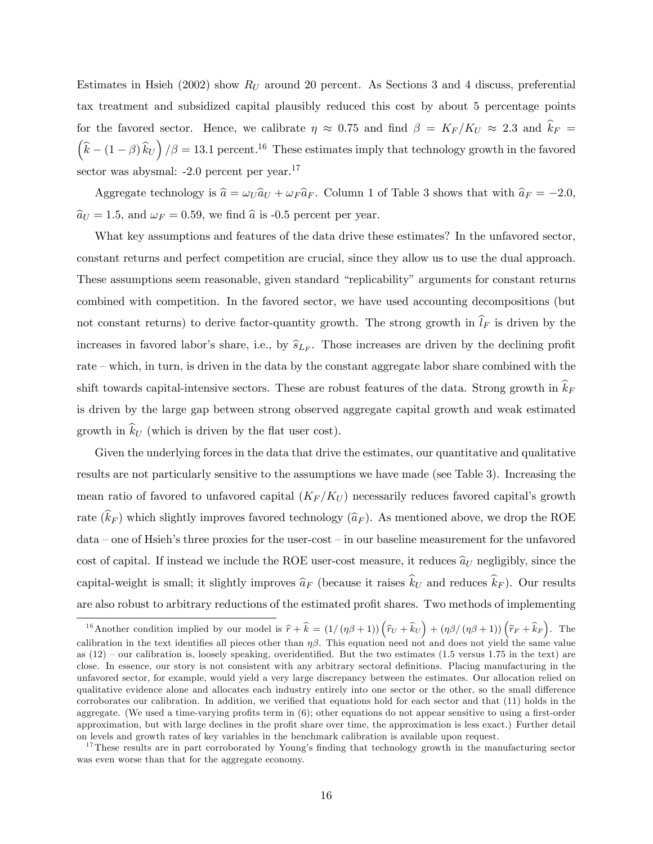Estimates in Hsieh (2002) show  $R_U$  around 20 percent. As Sections 3 and 4 discuss, preferential tax treatment and subsidized capital plausibly reduced this cost by about 5 percentage points for the favored sector. Hence, we calibrate  $\eta \approx 0.75$  and find  $\beta = K_F/K_U \approx 2.3$  and  $\hat{k}_F =$  $\left(\hat{k} - (1-\beta)\,\hat{k}_U\right)/\beta = 13.1$  percent.<sup>16</sup> These estimates imply that technology growth in the favored sector was abysmal: -2.0 percent per year.<sup>17</sup>

Aggregate technology is  $\hat{a} = \omega_U \hat{a}_U + \omega_F \hat{a}_F$ . Column 1 of Table 3 shows that with  $\hat{a}_F = -2.0$ ,  $\hat{a}_U = 1.5$ , and  $\omega_F = 0.59$ , we find  $\hat{a}$  is -0.5 percent per year.

What key assumptions and features of the data drive these estimates? In the unfavored sector, constant returns and perfect competition are crucial, since they allow us to use the dual approach. These assumptions seem reasonable, given standard "replicability" arguments for constant returns combined with competition. In the favored sector, we have used accounting decompositions (but not constant returns) to derive factor-quantity growth. The strong growth in  $\hat{l}_F$  is driven by the increases in favored labor's share, i.e., by  $\widehat{s}_{L_F}$ . Those increases are driven by the declining profit rate – which, in turn, is driven in the data by the constant aggregate labor share combined with the shift towards capital-intensive sectors. These are robust features of the data. Strong growth in  $\hat{k}_F$ is driven by the large gap between strong observed aggregate capital growth and weak estimated growth in  $\widehat{k}_U$  (which is driven by the flat user cost).

Given the underlying forces in the data that drive the estimates, our quantitative and qualitative results are not particularly sensitive to the assumptions we have made (see Table 3). Increasing the mean ratio of favored to unfavored capital  $(K_F/K_U)$  necessarily reduces favored capital's growth rate  $(\widehat{k}_F)$  which slightly improves favored technology  $(\widehat{a}_F)$ . As mentioned above, we drop the ROE  $data$  – one of Hsieh's three proxies for the user-cost – in our baseline measurement for the unfavored cost of capital. If instead we include the ROE user-cost measure, it reduces  $\hat{a}_U$  negligibly, since the capital-weight is small; it slightly improves  $\hat{a}_F$  (because it raises  $\hat{k}_U$  and reduces  $\hat{k}_F$ ). Our results are also robust to arbitrary reductions of the estimated profit shares. Two methods of implementing

<sup>&</sup>lt;sup>16</sup> Another condition implied by our model is  $\hat{r} + \hat{k} = (1/(\eta\beta + 1))(\hat{r}_U + \hat{k}_U) + (\eta\beta/(\eta\beta + 1))(\hat{r}_F + \hat{k}_F)$ . The calibration in the text identifies all pieces other than  $\eta\beta$ . This equation need not and does not yield the same value as  $(12)$  – our calibration is, loosely speaking, overidentified. But the two estimates  $(1.5 \text{ versus } 1.75 \text{ in the text})$  are close. In essence, our story is not consistent with any arbitrary sectoral definitions. Placing manufacturing in the unfavored sector, for example, would yield a very large discrepancy between the estimates. Our allocation relied on qualitative evidence alone and allocates each industry entirely into one sector or the other, so the small difference corroborates our calibration. In addition, we verified that equations hold for each sector and that (11) holds in the aggregate. (We used a time-varying profits term in  $(6)$ ; other equations do not appear sensitive to using a first-order approximation, but with large declines in the profit share over time, the approximation is less exact.) Further detail on levels and growth rates of key variables in the benchmark calibration is available upon request.

<sup>&</sup>lt;sup>17</sup>These results are in part corroborated by Young's finding that technology growth in the manufacturing sector was even worse than that for the aggregate economy.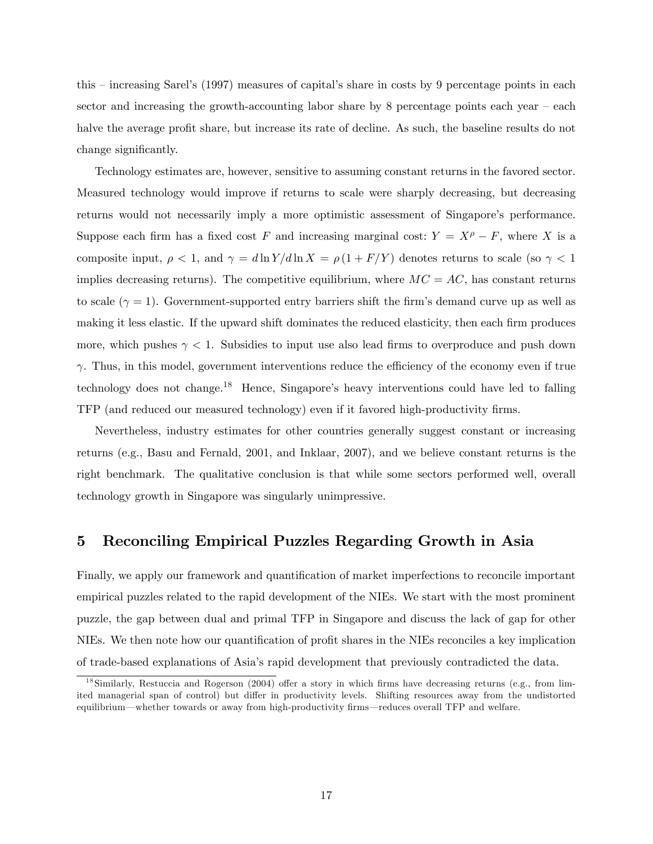this  $-$  increasing Sarel's (1997) measures of capital's share in costs by 9 percentage points in each sector and increasing the growth-accounting labor share by  $8$  percentage points each year  $-$  each halve the average profit share, but increase its rate of decline. As such, the baseline results do not change significantly.

Technology estimates are, however, sensitive to assuming constant returns in the favored sector. Measured technology would improve if returns to scale were sharply decreasing, but decreasing returns would not necessarily imply a more optimistic assessment of Singapore's performance. Suppose each firm has a fixed cost F and increasing marginal cost:  $Y = X^{\rho} - F$ , where X is a composite input,  $\rho < 1$ , and  $\gamma = d \ln Y/d \ln X = \rho (1 + F/Y)$  denotes returns to scale (so  $\gamma < 1$ ) implies decreasing returns). The competitive equilibrium, where  $MC = AC$ , has constant returns to scale  $(\gamma = 1)$ . Government-supported entry barriers shift the firm's demand curve up as well as making it less elastic. If the upward shift dominates the reduced elasticity, then each firm produces more, which pushes  $\gamma$  < 1. Subsidies to input use also lead firms to overproduce and push down  $\gamma$ . Thus, in this model, government interventions reduce the efficiency of the economy even if true technology does not change.<sup>18</sup> Hence, Singapore's heavy interventions could have led to falling TFP (and reduced our measured technology) even if it favored high-productivity Örms.

Nevertheless, industry estimates for other countries generally suggest constant or increasing returns (e.g., Basu and Fernald, 2001, and Inklaar, 2007), and we believe constant returns is the right benchmark. The qualitative conclusion is that while some sectors performed well, overall technology growth in Singapore was singularly unimpressive.

# 5 Reconciling Empirical Puzzles Regarding Growth in Asia

Finally, we apply our framework and quantification of market imperfections to reconcile important empirical puzzles related to the rapid development of the NIEs. We start with the most prominent puzzle, the gap between dual and primal TFP in Singapore and discuss the lack of gap for other NIEs. We then note how our quantification of profit shares in the NIEs reconciles a key implication of trade-based explanations of Asiaís rapid development that previously contradicted the data.

 $^{18}$ Similarly, Restuccia and Rogerson (2004) offer a story in which firms have decreasing returns (e.g., from limited managerial span of control) but differ in productivity levels. Shifting resources away from the undistorted equilibrium—whether towards or away from high-productivity firms—reduces overall TFP and welfare.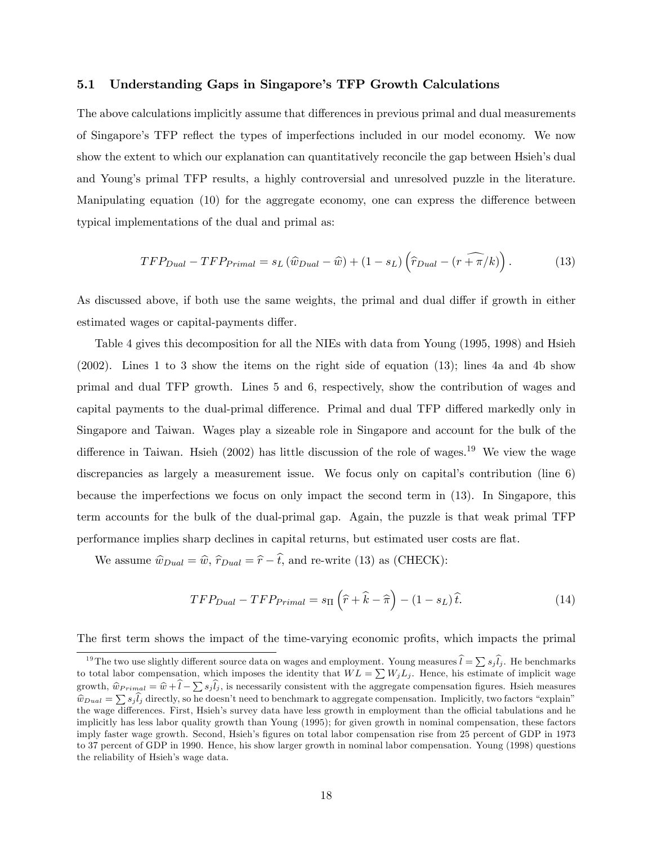### 5.1 Understanding Gaps in Singaporeís TFP Growth Calculations

The above calculations implicitly assume that differences in previous primal and dual measurements of Singapore's TFP reflect the types of imperfections included in our model economy. We now show the extent to which our explanation can quantitatively reconcile the gap between Hsieh's dual and Young's primal TFP results, a highly controversial and unresolved puzzle in the literature. Manipulating equation  $(10)$  for the aggregate economy, one can express the difference between typical implementations of the dual and primal as:

$$
TFP_{Dual} - TFP_{Primal} = s_L \left(\hat{w}_{Dual} - \hat{w}\right) + (1 - s_L) \left(\hat{r}_{Dual} - \left(r + \overline{\pi}/k\right)\right). \tag{13}
$$

As discussed above, if both use the same weights, the primal and dual differ if growth in either estimated wages or capital-payments differ.

Table 4 gives this decomposition for all the NIEs with data from Young (1995, 1998) and Hsieh (2002). Lines 1 to 3 show the items on the right side of equation (13); lines 4a and 4b show primal and dual TFP growth. Lines 5 and 6, respectively, show the contribution of wages and capital payments to the dual-primal difference. Primal and dual TFP differed markedly only in Singapore and Taiwan. Wages play a sizeable role in Singapore and account for the bulk of the difference in Taiwan. Hsieh (2002) has little discussion of the role of wages.<sup>19</sup> We view the wage discrepancies as largely a measurement issue. We focus only on capital's contribution (line  $6$ ) because the imperfections we focus on only impact the second term in (13). In Singapore, this term accounts for the bulk of the dual-primal gap. Again, the puzzle is that weak primal TFP performance implies sharp declines in capital returns, but estimated user costs are flat.

We assume  $\hat{w}_{Dual} = \hat{w}, \hat{r}_{Dual} = \hat{r} - \hat{t}$ , and re-write (13) as (CHECK):

$$
TFP_{Dual} - TFP_{Primal} = s_{\Pi} \left( \hat{r} + \hat{k} - \hat{\pi} \right) - (1 - s_L) \hat{t}.
$$
 (14)

The first term shows the impact of the time-varying economic profits, which impacts the primal

<sup>&</sup>lt;sup>19</sup>The two use slightly different source data on wages and employment. Young measures  $\hat{l} = \sum s_j \hat{l}_j$ . He benchmarks to total labor compensation, which imposes the identity that  $WL = \sum W_j L_j$ . Hence, his estimate of implicit wage growth,  $\hat{w}_{Primal} = \hat{w} + \hat{l} - \sum s_j \hat{l}_j$ , is necessarily consistent with the aggregate compensation figures. Hsieh measures  $\hat{w}_{Dual} = \sum s_j \hat{l}_j$  directly, so he doesn't need to benchmark to aggregate compensation. Implicitly, two factors "explain" the wage differences. First, Hsieh's survey data have less growth in employment than the official tabulations and he implicitly has less labor quality growth than Young (1995); for given growth in nominal compensation, these factors imply faster wage growth. Second, Hsieh's figures on total labor compensation rise from 25 percent of GDP in 1973 to 37 percent of GDP in 1990. Hence, his show larger growth in nominal labor compensation. Young (1998) questions the reliability of Hsieh's wage data.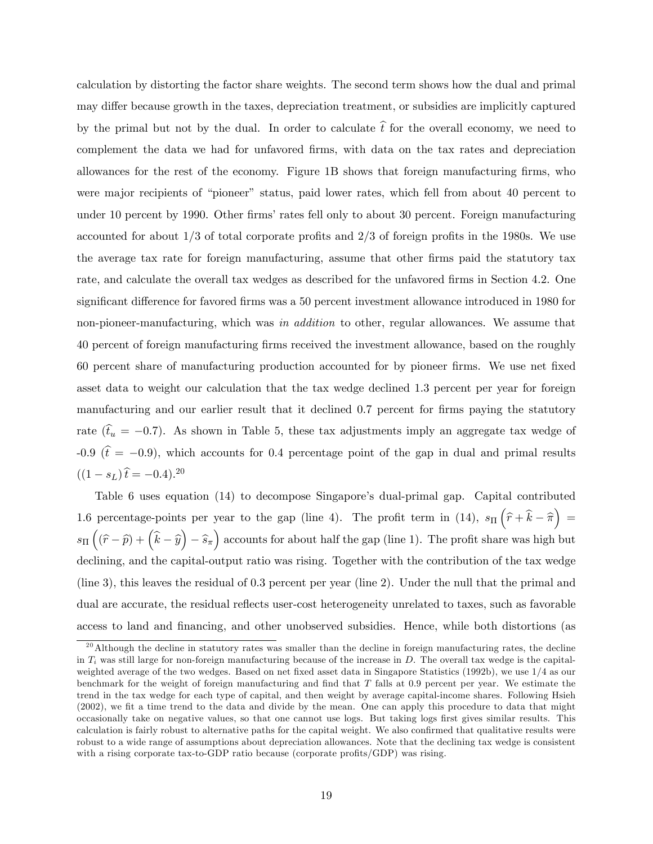calculation by distorting the factor share weights. The second term shows how the dual and primal may differ because growth in the taxes, depreciation treatment, or subsidies are implicitly captured by the primal but not by the dual. In order to calculate  $\hat{t}$  for the overall economy, we need to complement the data we had for unfavored firms, with data on the tax rates and depreciation allowances for the rest of the economy. Figure 1B shows that foreign manufacturing firms, who were major recipients of "pioneer" status, paid lower rates, which fell from about 40 percent to under 10 percent by 1990. Other firms' rates fell only to about 30 percent. Foreign manufacturing accounted for about  $1/3$  of total corporate profits and  $2/3$  of foreign profits in the 1980s. We use the average tax rate for foreign manufacturing, assume that other Örms paid the statutory tax rate, and calculate the overall tax wedges as described for the unfavored firms in Section 4.2. One significant difference for favored firms was a 50 percent investment allowance introduced in 1980 for non-pioneer-manufacturing, which was in addition to other, regular allowances. We assume that 40 percent of foreign manufacturing Örms received the investment allowance, based on the roughly 60 percent share of manufacturing production accounted for by pioneer Örms. We use net Öxed asset data to weight our calculation that the tax wedge declined 1.3 percent per year for foreign manufacturing and our earlier result that it declined 0.7 percent for firms paying the statutory rate  $(\hat{t}_u = -0.7)$ . As shown in Table 5, these tax adjustments imply an aggregate tax wedge of -0.9 ( $\hat{t} = -0.9$ ), which accounts for 0.4 percentage point of the gap in dual and primal results  $((1 - s_L)\hat{t} = -0.4).^{20}$ 

Table 6 uses equation  $(14)$  to decompose Singapore's dual-primal gap. Capital contributed 1.6 percentage-points per year to the gap (line 4). The profit term in (14),  $s_{\Pi}(\hat{r}+\hat{k}-\hat{\pi})=$  $s_{\Pi}\left((\widehat{r}-\widehat{p})+\left(\widehat{k}-\widehat{y}\right)-\widehat{s}_{\pi}\right)$  accounts for about half the gap (line 1). The profit share was high but declining, and the capital-output ratio was rising. Together with the contribution of the tax wedge (line 3), this leaves the residual of 0.3 percent per year (line 2). Under the null that the primal and dual are accurate, the residual reflects user-cost heterogeneity unrelated to taxes, such as favorable access to land and financing, and other unobserved subsidies. Hence, while both distortions (as

 $^{20}$ Although the decline in statutory rates was smaller than the decline in foreign manufacturing rates, the decline in  $T_i$  was still large for non-foreign manufacturing because of the increase in  $D$ . The overall tax wedge is the capitalweighted average of the two wedges. Based on net fixed asset data in Singapore Statistics (1992b), we use 1/4 as our benchmark for the weight of foreign manufacturing and find that  $T$  falls at 0.9 percent per year. We estimate the trend in the tax wedge for each type of capital, and then weight by average capital-income shares. Following Hsieh (2002), we Öt a time trend to the data and divide by the mean. One can apply this procedure to data that might occasionally take on negative values, so that one cannot use logs. But taking logs first gives similar results. This calculation is fairly robust to alternative paths for the capital weight. We also confirmed that qualitative results were robust to a wide range of assumptions about depreciation allowances. Note that the declining tax wedge is consistent with a rising corporate tax-to-GDP ratio because (corporate profits/GDP) was rising.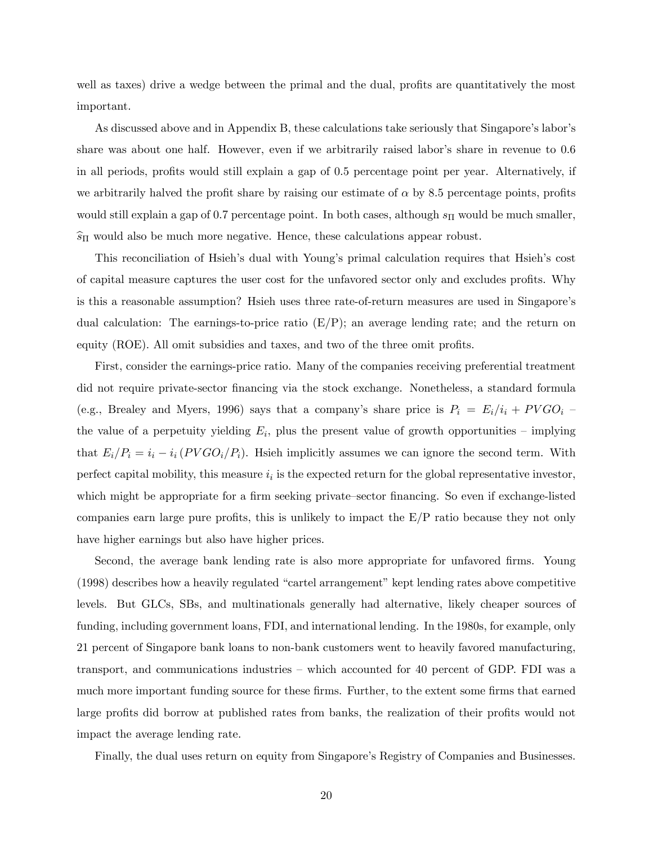well as taxes) drive a wedge between the primal and the dual, profits are quantitatively the most important.

As discussed above and in Appendix B, these calculations take seriously that Singapore's labor's share was about one half. However, even if we arbitrarily raised labor's share in revenue to  $0.6$ in all periods, profits would still explain a gap of 0.5 percentage point per year. Alternatively, if we arbitrarily halved the profit share by raising our estimate of  $\alpha$  by 8.5 percentage points, profits would still explain a gap of 0.7 percentage point. In both cases, although  $s_{\Pi}$  would be much smaller,  $\widehat{s}_{\Pi}$  would also be much more negative. Hence, these calculations appear robust.

This reconciliation of Hsieh's dual with Young's primal calculation requires that Hsieh's cost of capital measure captures the user cost for the unfavored sector only and excludes profits. Why is this a reasonable assumption? Hsieh uses three rate-of-return measures are used in Singapore's dual calculation: The earnings-to-price ratio  $(E/P)$ ; an average lending rate; and the return on equity (ROE). All omit subsidies and taxes, and two of the three omit profits.

First, consider the earnings-price ratio. Many of the companies receiving preferential treatment did not require private-sector financing via the stock exchange. Nonetheless, a standard formula (e.g., Brealey and Myers, 1996) says that a company's share price is  $P_i = E_i/i_i + PVGO_i$ the value of a perpetuity yielding  $E_i$ , plus the present value of growth opportunities – implying that  $E_i/P_i = i_i - i_i (PV G O_i/P_i)$ . Hsieh implicitly assumes we can ignore the second term. With perfect capital mobility, this measure  $i_i$  is the expected return for the global representative investor, which might be appropriate for a firm seeking private-sector financing. So even if exchange-listed companies earn large pure profits, this is unlikely to impact the  $E/P$  ratio because they not only have higher earnings but also have higher prices.

Second, the average bank lending rate is also more appropriate for unfavored firms. Young  $(1998)$  describes how a heavily regulated "cartel arrangement" kept lending rates above competitive levels. But GLCs, SBs, and multinationals generally had alternative, likely cheaper sources of funding, including government loans, FDI, and international lending. In the 1980s, for example, only 21 percent of Singapore bank loans to non-bank customers went to heavily favored manufacturing, transport, and communications industries  $-$  which accounted for 40 percent of GDP. FDI was a much more important funding source for these firms. Further, to the extent some firms that earned large profits did borrow at published rates from banks, the realization of their profits would not impact the average lending rate.

Finally, the dual uses return on equity from Singapore's Registry of Companies and Businesses.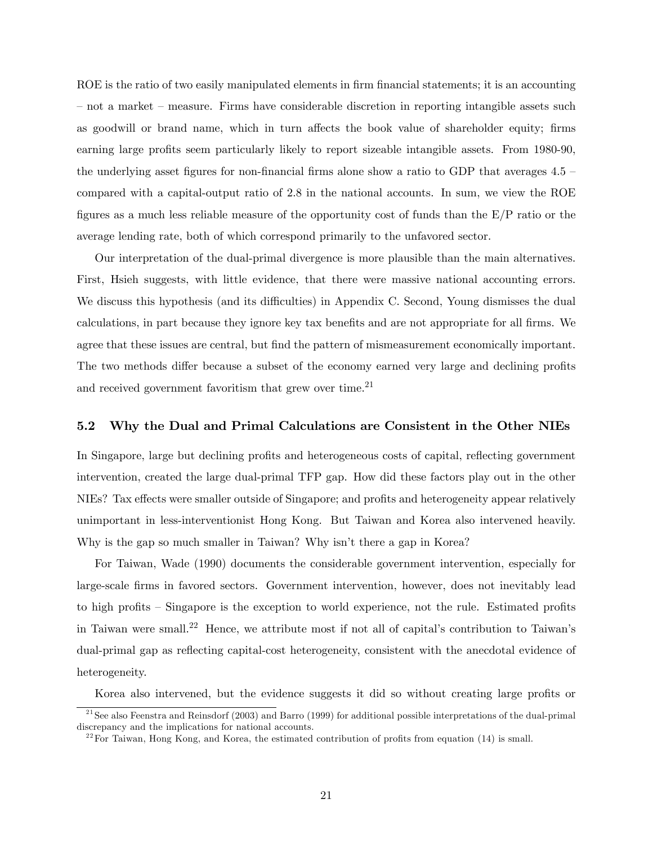ROE is the ratio of two easily manipulated elements in firm financial statements; it is an accounting  $\overline{\phantom{a}}$  not a market  $\overline{\phantom{a}}$  measure. Firms have considerable discretion in reporting intangible assets such as goodwill or brand name, which in turn affects the book value of shareholder equity; firms earning large profits seem particularly likely to report sizeable intangible assets. From 1980-90, the underlying asset figures for non-financial firms alone show a ratio to GDP that averages  $4.5$  – compared with a capital-output ratio of 2.8 in the national accounts. In sum, we view the ROE figures as a much less reliable measure of the opportunity cost of funds than the  $E/P$  ratio or the average lending rate, both of which correspond primarily to the unfavored sector.

Our interpretation of the dual-primal divergence is more plausible than the main alternatives. First, Hsieh suggests, with little evidence, that there were massive national accounting errors. We discuss this hypothesis (and its difficulties) in Appendix C. Second, Young dismisses the dual calculations, in part because they ignore key tax benefits and are not appropriate for all firms. We agree that these issues are central, but find the pattern of mismeasurement economically important. The two methods differ because a subset of the economy earned very large and declining profits and received government favoritism that grew over time. $^{21}$ 

## 5.2 Why the Dual and Primal Calculations are Consistent in the Other NIEs

In Singapore, large but declining profits and heterogeneous costs of capital, reflecting government intervention, created the large dual-primal TFP gap. How did these factors play out in the other NIEs? Tax effects were smaller outside of Singapore; and profits and heterogeneity appear relatively unimportant in less-interventionist Hong Kong. But Taiwan and Korea also intervened heavily. Why is the gap so much smaller in Taiwan? Why isn't there a gap in Korea?

For Taiwan, Wade (1990) documents the considerable government intervention, especially for large-scale Örms in favored sectors. Government intervention, however, does not inevitably lead to high profits – Singapore is the exception to world experience, not the rule. Estimated profits in Taiwan were small.<sup>22</sup> Hence, we attribute most if not all of capital's contribution to Taiwan's dual-primal gap as reflecting capital-cost heterogeneity, consistent with the anecdotal evidence of heterogeneity.

Korea also intervened, but the evidence suggests it did so without creating large profits or

 $^{21}$ See also Feenstra and Reinsdorf (2003) and Barro (1999) for additional possible interpretations of the dual-primal discrepancy and the implications for national accounts.

 $22^2$  For Taiwan, Hong Kong, and Korea, the estimated contribution of profits from equation (14) is small.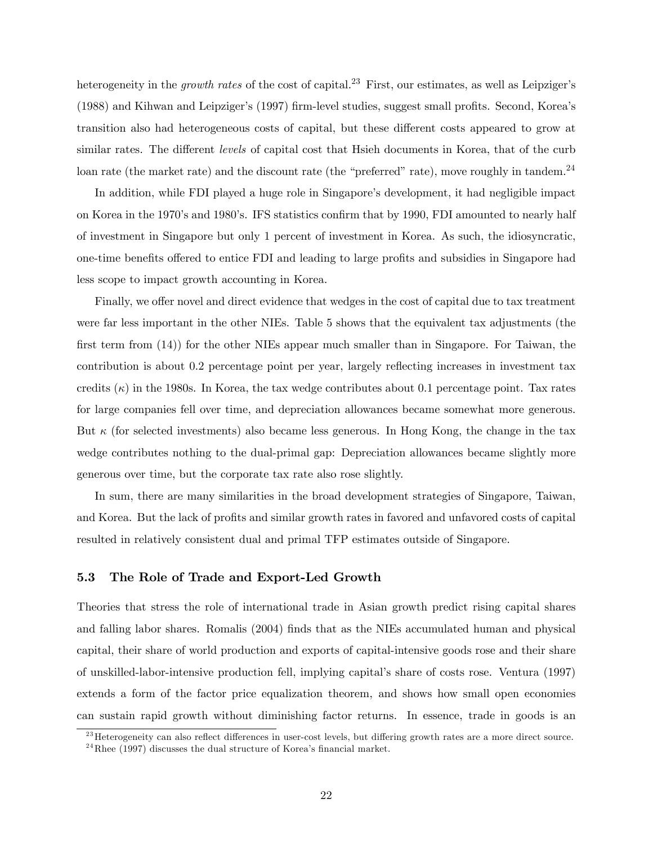heterogeneity in the *growth rates* of the cost of capital.<sup>23</sup> First, our estimates, as well as Leipziger's  $(1988)$  and Kihwan and Leipziger's  $(1997)$  firm-level studies, suggest small profits. Second, Korea's transition also had heterogeneous costs of capital, but these different costs appeared to grow at similar rates. The different levels of capital cost that Hsieh documents in Korea, that of the curb loan rate (the market rate) and the discount rate (the "preferred" rate), move roughly in tandem.<sup>24</sup>

In addition, while FDI played a huge role in Singapore's development, it had negligible impact on Korea in the 1970's and 1980's. IFS statistics confirm that by 1990, FDI amounted to nearly half of investment in Singapore but only 1 percent of investment in Korea. As such, the idiosyncratic, one-time benefits offered to entice FDI and leading to large profits and subsidies in Singapore had less scope to impact growth accounting in Korea.

Finally, we offer novel and direct evidence that wedges in the cost of capital due to tax treatment were far less important in the other NIEs. Table 5 shows that the equivalent tax adjustments (the first term from  $(14)$  for the other NIEs appear much smaller than in Singapore. For Taiwan, the contribution is about 0.2 percentage point per year, largely reflecting increases in investment tax credits  $(\kappa)$  in the 1980s. In Korea, the tax wedge contributes about 0.1 percentage point. Tax rates for large companies fell over time, and depreciation allowances became somewhat more generous. But  $\kappa$  (for selected investments) also became less generous. In Hong Kong, the change in the tax wedge contributes nothing to the dual-primal gap: Depreciation allowances became slightly more generous over time, but the corporate tax rate also rose slightly.

In sum, there are many similarities in the broad development strategies of Singapore, Taiwan, and Korea. But the lack of profits and similar growth rates in favored and unfavored costs of capital resulted in relatively consistent dual and primal TFP estimates outside of Singapore.

#### 5.3 The Role of Trade and Export-Led Growth

Theories that stress the role of international trade in Asian growth predict rising capital shares and falling labor shares. Romalis (2004) finds that as the NIEs accumulated human and physical capital, their share of world production and exports of capital-intensive goods rose and their share of unskilled-labor-intensive production fell, implying capitalís share of costs rose. Ventura (1997) extends a form of the factor price equalization theorem, and shows how small open economies can sustain rapid growth without diminishing factor returns. In essence, trade in goods is an

 $^{23}$ Heterogeneity can also reflect differences in user-cost levels, but differing growth rates are a more direct source.

<sup>&</sup>lt;sup>24</sup>Rhee (1997) discusses the dual structure of Korea's financial market.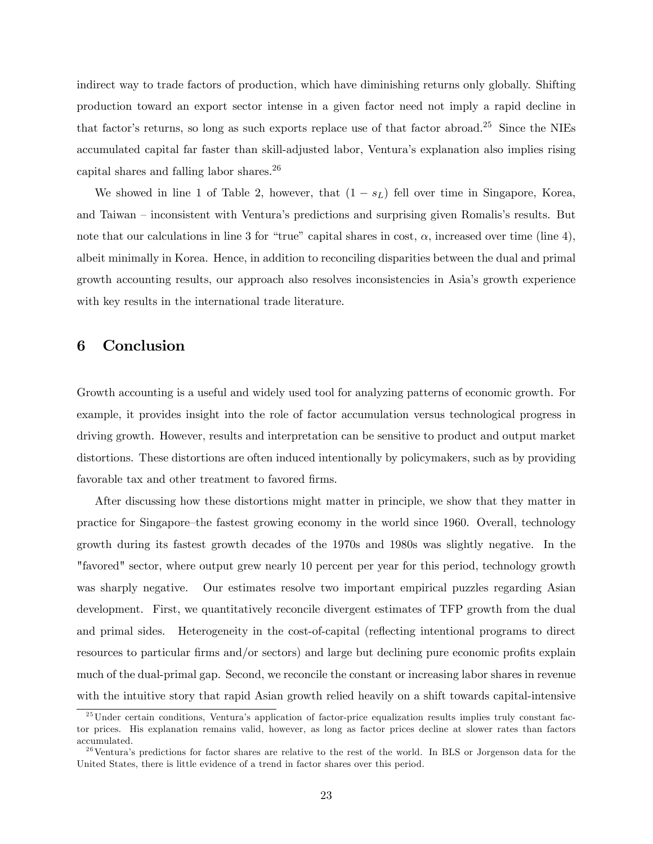indirect way to trade factors of production, which have diminishing returns only globally. Shifting production toward an export sector intense in a given factor need not imply a rapid decline in that factor's returns, so long as such exports replace use of that factor abroad.<sup>25</sup> Since the NIEs accumulated capital far faster than skill-adjusted labor, Venturaís explanation also implies rising capital shares and falling labor shares.<sup>26</sup>

We showed in line 1 of Table 2, however, that  $(1 - s_L)$  fell over time in Singapore, Korea, and Taiwan – inconsistent with Ventura's predictions and surprising given Romalis's results. But note that our calculations in line 3 for "true" capital shares in cost,  $\alpha$ , increased over time (line 4), albeit minimally in Korea. Hence, in addition to reconciling disparities between the dual and primal growth accounting results, our approach also resolves inconsistencies in Asiaís growth experience with key results in the international trade literature.

# 6 Conclusion

Growth accounting is a useful and widely used tool for analyzing patterns of economic growth. For example, it provides insight into the role of factor accumulation versus technological progress in driving growth. However, results and interpretation can be sensitive to product and output market distortions. These distortions are often induced intentionally by policymakers, such as by providing favorable tax and other treatment to favored firms.

After discussing how these distortions might matter in principle, we show that they matter in practice for Singapore–the fastest growing economy in the world since 1960. Overall, technology growth during its fastest growth decades of the 1970s and 1980s was slightly negative. In the "favored" sector, where output grew nearly 10 percent per year for this period, technology growth was sharply negative. Our estimates resolve two important empirical puzzles regarding Asian development. First, we quantitatively reconcile divergent estimates of TFP growth from the dual and primal sides. Heterogeneity in the cost-of-capital (reflecting intentional programs to direct resources to particular firms and/or sectors) and large but declining pure economic profits explain much of the dual-primal gap. Second, we reconcile the constant or increasing labor shares in revenue with the intuitive story that rapid Asian growth relied heavily on a shift towards capital-intensive

 $^{25}$ Under certain conditions, Ventura's application of factor-price equalization results implies truly constant factor prices. His explanation remains valid, however, as long as factor prices decline at slower rates than factors accumulated.

 $^{26}$ Ventura's predictions for factor shares are relative to the rest of the world. In BLS or Jorgenson data for the United States, there is little evidence of a trend in factor shares over this period.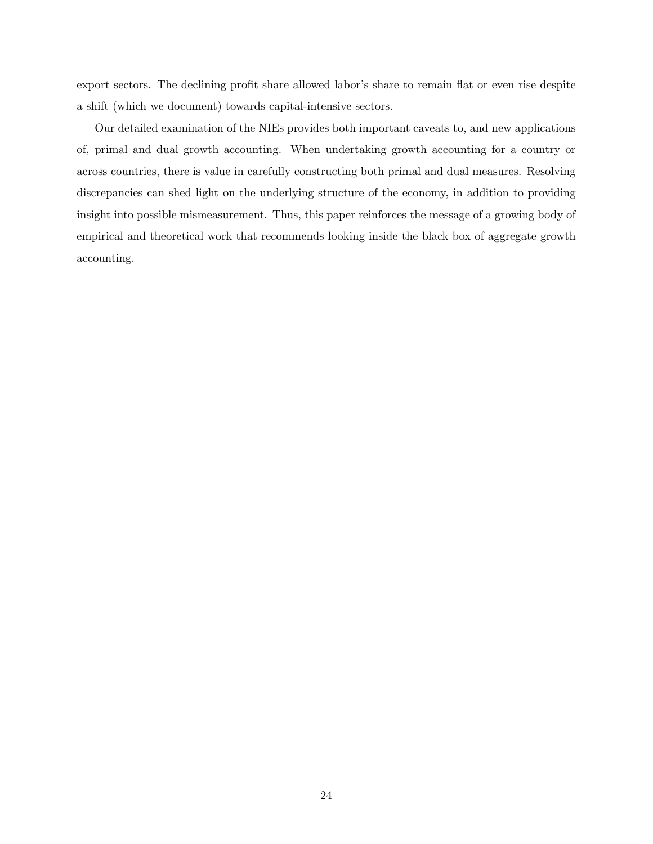export sectors. The declining profit share allowed labor's share to remain flat or even rise despite a shift (which we document) towards capital-intensive sectors.

Our detailed examination of the NIEs provides both important caveats to, and new applications of, primal and dual growth accounting. When undertaking growth accounting for a country or across countries, there is value in carefully constructing both primal and dual measures. Resolving discrepancies can shed light on the underlying structure of the economy, in addition to providing insight into possible mismeasurement. Thus, this paper reinforces the message of a growing body of empirical and theoretical work that recommends looking inside the black box of aggregate growth accounting.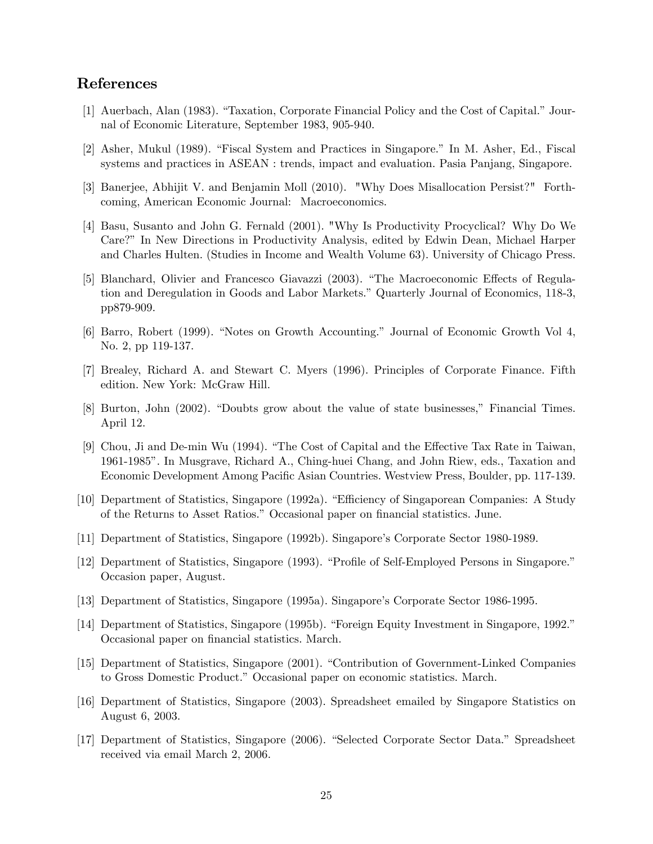# References

- [1] Auerbach, Alan (1983). "Taxation, Corporate Financial Policy and the Cost of Capital." Journal of Economic Literature, September 1983, 905-940.
- [2] Asher, Mukul (1989). "Fiscal System and Practices in Singapore." In M. Asher, Ed., Fiscal systems and practices in ASEAN : trends, impact and evaluation. Pasia Panjang, Singapore.
- [3] Banerjee, Abhijit V. and Benjamin Moll (2010). "Why Does Misallocation Persist?" Forthcoming, American Economic Journal: Macroeconomics.
- [4] Basu, Susanto and John G. Fernald (2001). "Why Is Productivity Procyclical? Why Do We Care?î In New Directions in Productivity Analysis, edited by Edwin Dean, Michael Harper and Charles Hulten. (Studies in Income and Wealth Volume 63). University of Chicago Press.
- [5] Blanchard, Olivier and Francesco Giavazzi (2003). "The Macroeconomic Effects of Regulation and Deregulation in Goods and Labor Markets." Quarterly Journal of Economics, 118-3, pp879-909.
- $[6]$  Barro, Robert (1999). "Notes on Growth Accounting." Journal of Economic Growth Vol 4, No. 2, pp 119-137.
- [7] Brealey, Richard A. and Stewart C. Myers (1996). Principles of Corporate Finance. Fifth edition. New York: McGraw Hill.
- [8] Burton, John (2002). "Doubts grow about the value of state businesses," Financial Times. April 12.
- [9] Chou, Ji and De-min Wu (1994). "The Cost of Capital and the Effective Tax Rate in Taiwan, 1961-1985î. In Musgrave, Richard A., Ching-huei Chang, and John Riew, eds., Taxation and Economic Development Among Pacific Asian Countries. Westview Press, Boulder, pp. 117-139.
- [10] Department of Statistics, Singapore (1992a). "Efficiency of Singaporean Companies: A Study of the Returns to Asset Ratios." Occasional paper on financial statistics. June.
- [11] Department of Statistics, Singapore (1992b). Singapore's Corporate Sector 1980-1989.
- [12] Department of Statistics, Singapore (1993). "Profile of Self-Employed Persons in Singapore." Occasion paper, August.
- [13] Department of Statistics, Singapore (1995a). Singaporeís Corporate Sector 1986-1995.
- [14] Department of Statistics, Singapore (1995b). "Foreign Equity Investment in Singapore, 1992." Occasional paper on financial statistics. March.
- [15] Department of Statistics, Singapore (2001). "Contribution of Government-Linked Companies to Gross Domestic Product.îOccasional paper on economic statistics. March.
- [16] Department of Statistics, Singapore (2003). Spreadsheet emailed by Singapore Statistics on August 6, 2003.
- [17] Department of Statistics, Singapore (2006). "Selected Corporate Sector Data." Spreadsheet received via email March 2, 2006.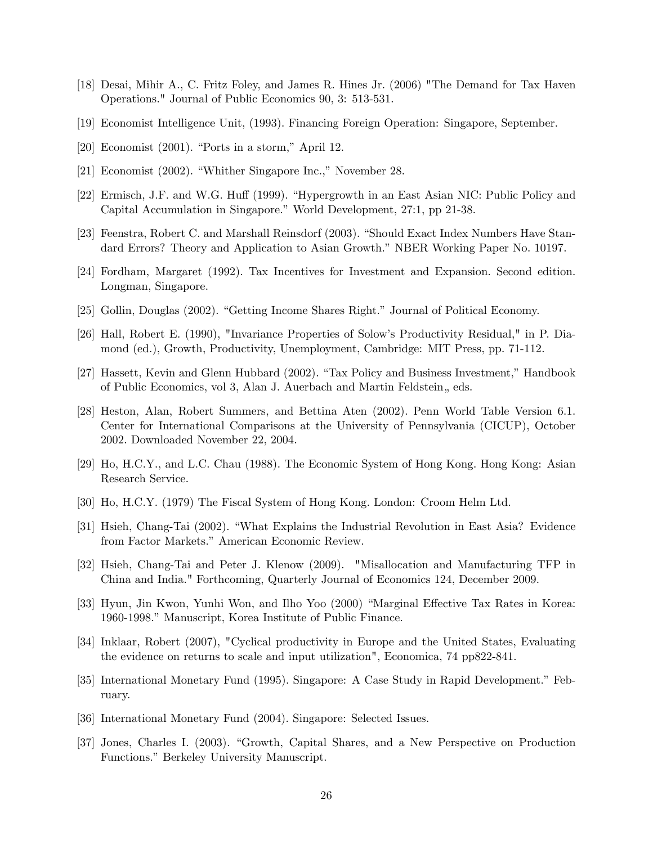- [18] Desai, Mihir A., C. Fritz Foley, and James R. Hines Jr. (2006) "The Demand for Tax Haven Operations." Journal of Public Economics 90, 3: 513-531.
- [19] Economist Intelligence Unit, (1993). Financing Foreign Operation: Singapore, September.
- $[20]$  Economist  $(2001)$ . "Ports in a storm," April 12.
- [21] Economist  $(2002)$ . "Whither Singapore Inc.," November 28.
- [22] Ermisch, J.F. and W.G. Huff (1999). "Hypergrowth in an East Asian NIC: Public Policy and Capital Accumulation in Singapore." World Development, 27:1, pp 21-38.
- [23] Feenstra, Robert C. and Marshall Reinsdorf (2003). "Should Exact Index Numbers Have Standard Errors? Theory and Application to Asian Growth." NBER Working Paper No. 10197.
- [24] Fordham, Margaret (1992). Tax Incentives for Investment and Expansion. Second edition. Longman, Singapore.
- [25] Gollin, Douglas (2002). "Getting Income Shares Right." Journal of Political Economy.
- [26] Hall, Robert E. (1990), "Invariance Properties of Solowís Productivity Residual," in P. Diamond (ed.), Growth, Productivity, Unemployment, Cambridge: MIT Press, pp. 71-112.
- [27] Hassett, Kevin and Glenn Hubbard (2002). "Tax Policy and Business Investment," Handbook of Public Economics, vol 3, Alan J. Auerbach and Martin Feldstein, eds.
- [28] Heston, Alan, Robert Summers, and Bettina Aten (2002). Penn World Table Version 6.1. Center for International Comparisons at the University of Pennsylvania (CICUP), October 2002. Downloaded November 22, 2004.
- [29] Ho, H.C.Y., and L.C. Chau (1988). The Economic System of Hong Kong. Hong Kong: Asian Research Service.
- [30] Ho, H.C.Y. (1979) The Fiscal System of Hong Kong. London: Croom Helm Ltd.
- [31] Hsieh, Chang-Tai (2002). "What Explains the Industrial Revolution in East Asia? Evidence from Factor Markets." American Economic Review.
- [32] Hsieh, Chang-Tai and Peter J. Klenow (2009). "Misallocation and Manufacturing TFP in China and India." Forthcoming, Quarterly Journal of Economics 124, December 2009.
- [33] Hyun, Jin Kwon, Yunhi Won, and Ilho Yoo (2000) "Marginal Effective Tax Rates in Korea: 1960-1998." Manuscript, Korea Institute of Public Finance.
- [34] Inklaar, Robert (2007), "Cyclical productivity in Europe and the United States, Evaluating the evidence on returns to scale and input utilization", Economica, 74 pp822-841.
- [35] International Monetary Fund (1995). Singapore: A Case Study in Rapid Development." February.
- [36] International Monetary Fund (2004). Singapore: Selected Issues.
- [37] Jones, Charles I. (2003). "Growth, Capital Shares, and a New Perspective on Production Functions." Berkeley University Manuscript.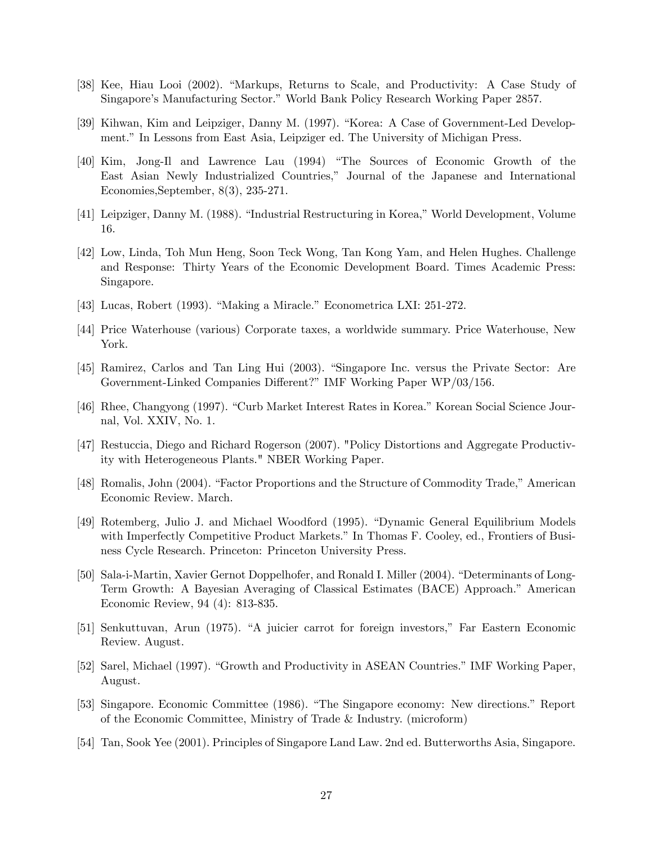- [38] Kee, Hiau Looi (2002). "Markups, Returns to Scale, and Productivity: A Case Study of Singapore's Manufacturing Sector." World Bank Policy Research Working Paper 2857.
- [39] Kihwan, Kim and Leipziger, Danny M. (1997). "Korea: A Case of Government-Led Development.î In Lessons from East Asia, Leipziger ed. The University of Michigan Press.
- [40] Kim, Jong-Il and Lawrence Lau (1994) "The Sources of Economic Growth of the East Asian Newly Industrialized Countries," Journal of the Japanese and International Economies,September, 8(3), 235-271.
- [41] Leipziger, Danny M. (1988). "Industrial Restructuring in Korea," World Development, Volume 16.
- [42] Low, Linda, Toh Mun Heng, Soon Teck Wong, Tan Kong Yam, and Helen Hughes. Challenge and Response: Thirty Years of the Economic Development Board. Times Academic Press: Singapore.
- $[43]$  Lucas, Robert (1993). "Making a Miracle." Econometrica LXI: 251-272.
- [44] Price Waterhouse (various) Corporate taxes, a worldwide summary. Price Waterhouse, New York.
- [45] Ramirez, Carlos and Tan Ling Hui (2003). "Singapore Inc. versus the Private Sector: Are Government-Linked Companies Different?" IMF Working Paper WP/03/156.
- [46] Rhee, Changyong (1997). "Curb Market Interest Rates in Korea." Korean Social Science Journal, Vol. XXIV, No. 1.
- [47] Restuccia, Diego and Richard Rogerson (2007). "Policy Distortions and Aggregate Productivity with Heterogeneous Plants." NBER Working Paper.
- [48] Romalis, John (2004). "Factor Proportions and the Structure of Commodity Trade," American Economic Review. March.
- [49] Rotemberg, Julio J. and Michael Woodford (1995). "Dynamic General Equilibrium Models with Imperfectly Competitive Product Markets." In Thomas F. Cooley, ed., Frontiers of Business Cycle Research. Princeton: Princeton University Press.
- [50] Sala-i-Martin, Xavier Gernot Doppelhofer, and Ronald I. Miller (2004). "Determinants of Long-Term Growth: A Bayesian Averaging of Classical Estimates (BACE) Approach.î American Economic Review, 94 (4): 813-835.
- [51] Senkuttuvan, Arun (1975). "A juicier carrot for foreign investors," Far Eastern Economic Review. August.
- [52] Sarel, Michael (1997). "Growth and Productivity in ASEAN Countries." IMF Working Paper, August.
- [53] Singapore. Economic Committee (1986). "The Singapore economy: New directions." Report of the Economic Committee, Ministry of Trade & Industry. (microform)
- [54] Tan, Sook Yee (2001). Principles of Singapore Land Law. 2nd ed. Butterworths Asia, Singapore.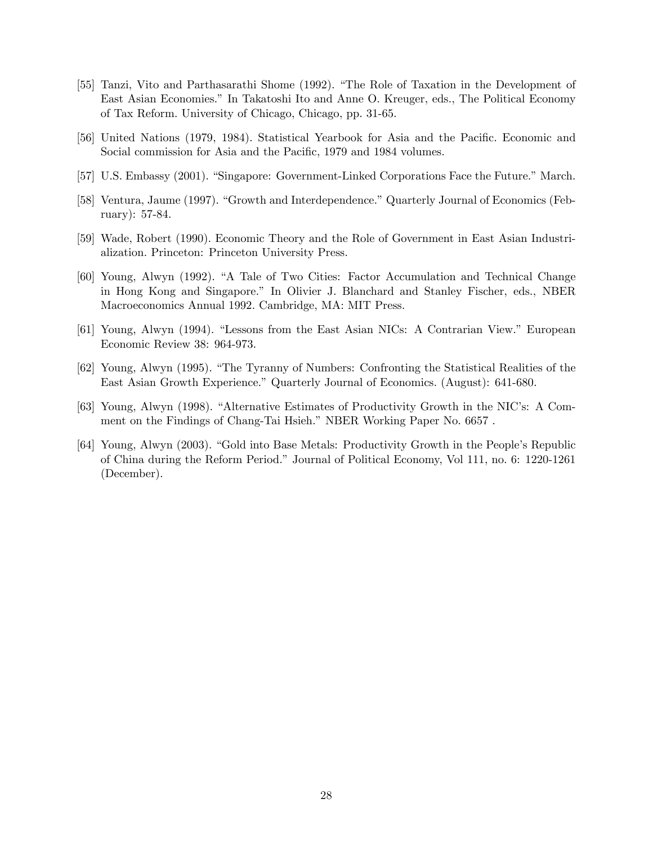- [55] Tanzi, Vito and Parthasarathi Shome (1992). "The Role of Taxation in the Development of East Asian Economies.î In Takatoshi Ito and Anne O. Kreuger, eds., The Political Economy of Tax Reform. University of Chicago, Chicago, pp. 31-65.
- [56] United Nations (1979, 1984). Statistical Yearbook for Asia and the Pacific. Economic and Social commission for Asia and the Pacific, 1979 and 1984 volumes.
- [57] U.S. Embassy (2001). "Singapore: Government-Linked Corporations Face the Future." March.
- [58] Ventura, Jaume (1997). "Growth and Interdependence." Quarterly Journal of Economics (February): 57-84.
- [59] Wade, Robert (1990). Economic Theory and the Role of Government in East Asian Industrialization. Princeton: Princeton University Press.
- [60] Young, Alwyn (1992). "A Tale of Two Cities: Factor Accumulation and Technical Change in Hong Kong and Singapore.î In Olivier J. Blanchard and Stanley Fischer, eds., NBER Macroeconomics Annual 1992. Cambridge, MA: MIT Press.
- [61] Young, Alwyn (1994). "Lessons from the East Asian NICs: A Contrarian View." European Economic Review 38: 964-973.
- [62] Young, Alwyn (1995). "The Tyranny of Numbers: Confronting the Statistical Realities of the East Asian Growth Experience." Quarterly Journal of Economics. (August): 641-680.
- [63] Young, Alwyn (1998). "Alternative Estimates of Productivity Growth in the NIC's: A Comment on the Findings of Chang-Tai Hsieh." NBER Working Paper No. 6657.
- [64] Young, Alwyn (2003). "Gold into Base Metals: Productivity Growth in the People's Republic of China during the Reform Period.î Journal of Political Economy, Vol 111, no. 6: 1220-1261 (December).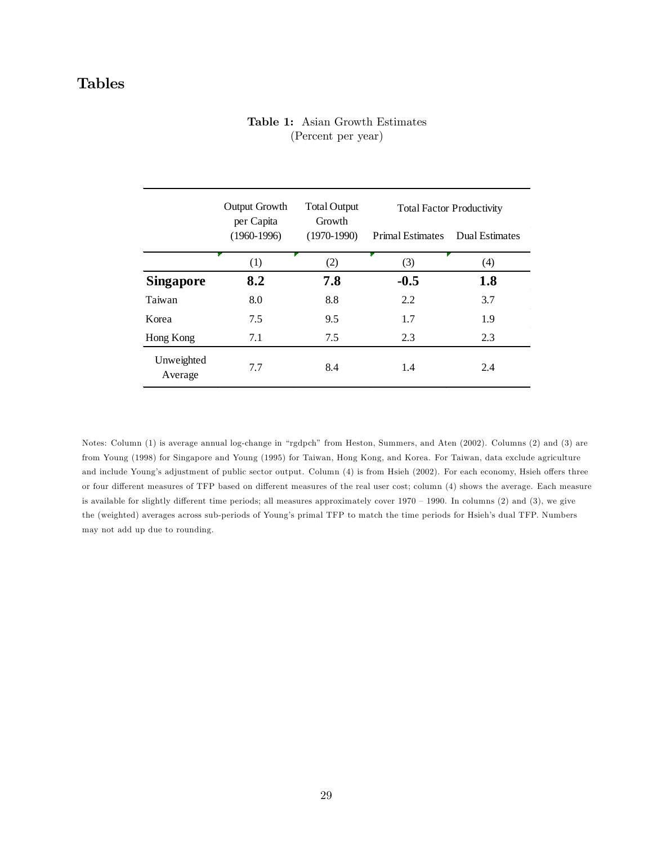# Tables

## Table 1: Asian Growth Estimates (Percent per year)

|                       | Output Growth<br>per Capita | <b>Total Output</b><br>Growth |                         | <b>Total Factor Productivity</b> |
|-----------------------|-----------------------------|-------------------------------|-------------------------|----------------------------------|
|                       | $(1960-1996)$               | $(1970-1990)$                 | <b>Primal Estimates</b> | Dual Estimates                   |
|                       | (1)                         | (2)                           | (3)                     | (4)                              |
| <b>Singapore</b>      | 8.2                         | 7.8                           | $-0.5$                  | 1.8                              |
| Taiwan                | 8.0                         | 8.8                           | 2.2                     | 3.7                              |
| Korea                 | 7.5                         | 9.5                           | 1.7                     | 1.9                              |
| Hong Kong             | 7.1                         | 7.5                           | 2.3                     | 2.3                              |
| Unweighted<br>Average | 7.7                         | 8.4                           | 1.4                     | 2.4                              |

Notes: Column (1) is average annual log-change in "rgdpch" from Heston, Summers, and Aten (2002). Columns (2) and (3) are from Young (1998) for Singapore and Young (1995) for Taiwan, Hong Kong, and Korea. For Taiwan, data exclude agriculture and include Young's adjustment of public sector output. Column (4) is from Hsieh (2002). For each economy, Hsieh offers three or four different measures of TFP based on different measures of the real user cost; column (4) shows the average. Each measure is available for slightly different time periods; all measures approximately cover  $1970 - 1990$ . In columns (2) and (3), we give the (weighted) averages across sub-periods of Young's primal TFP to match the time periods for Hsieh's dual TFP. Numbers may not add up due to rounding.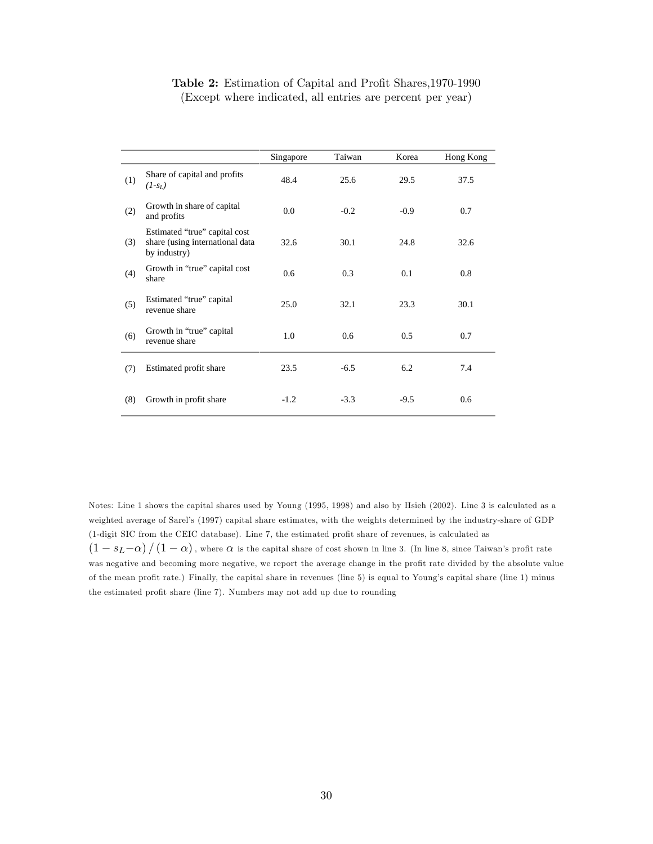|     |                                                                                  | Singapore | Taiwan | Korea  | Hong Kong |
|-----|----------------------------------------------------------------------------------|-----------|--------|--------|-----------|
| (1) | Share of capital and profits<br>$(I-s_L)$                                        | 48.4      | 25.6   | 29.5   | 37.5      |
| (2) | Growth in share of capital<br>and profits                                        | 0.0       | $-0.2$ | $-0.9$ | 0.7       |
| (3) | Estimated "true" capital cost<br>share (using international data<br>by industry) | 32.6      | 30.1   | 24.8   | 32.6      |
| (4) | Growth in "true" capital cost<br>share                                           | 0.6       | 0.3    | 0.1    | 0.8       |
| (5) | Estimated "true" capital<br>revenue share                                        | 25.0      | 32.1   | 23.3   | 30.1      |
| (6) | Growth in "true" capital<br>revenue share                                        | 1.0       | 0.6    | 0.5    | 0.7       |
| (7) | Estimated profit share                                                           | 23.5      | $-6.5$ | 6.2    | 7.4       |
| (8) | Growth in profit share                                                           | $-1.2$    | $-3.3$ | $-9.5$ | 0.6       |

## Table 2: Estimation of Capital and Profit Shares, 1970-1990 (Except where indicated, all entries are percent per year)

Notes: Line 1 shows the capital shares used by Young (1995, 1998) and also by Hsieh (2002). Line 3 is calculated as a weighted average of Sarel's (1997) capital share estimates, with the weights determined by the industry-share of GDP (1-digit SIC from the CEIC database). Line 7, the estimated profit share of revenues, is calculated as  $(1 - s_L - \alpha) / (1 - \alpha)$ , where  $\alpha$  is the capital share of cost shown in line 3. (In line 8, since Taiwan's profit rate was negative and becoming more negative, we report the average change in the profit rate divided by the absolute value of the mean profit rate.) Finally, the capital share in revenues (line 5) is equal to Young's capital share (line 1) minus the estimated profit share (line 7). Numbers may not add up due to rounding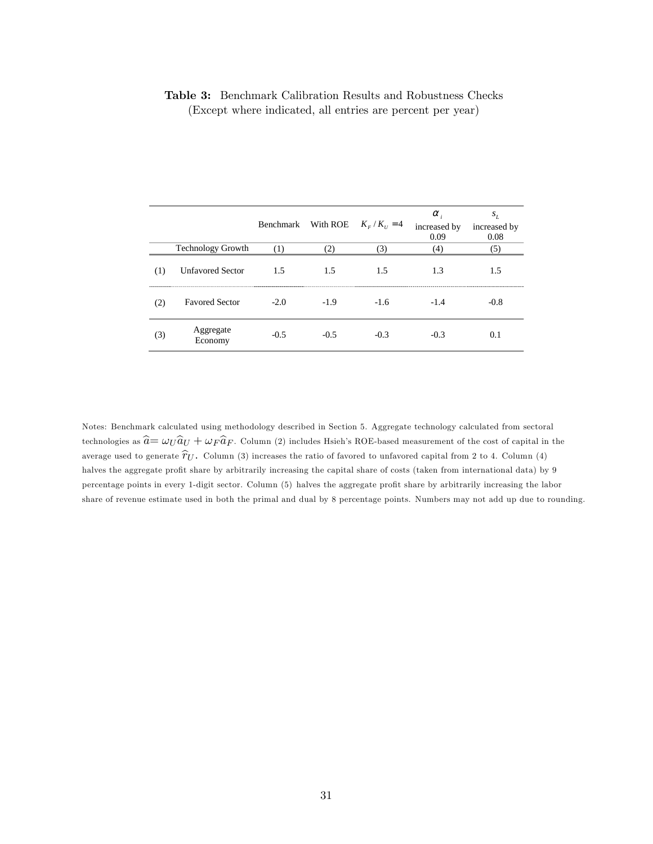## Table 3: Benchmark Calibration Results and Robustness Checks (Except where indicated, all entries are percent per year)

|     |                          | Benchmark | With ROE | $K_{F}/K_{U} = 4$ | $\alpha_{i}$<br>increased by<br>0.09 | $S_L$<br>increased by<br>0.08 |
|-----|--------------------------|-----------|----------|-------------------|--------------------------------------|-------------------------------|
|     | <b>Technology Growth</b> | (1)       | (2)      | (3)               | (4)                                  | (5)                           |
| (1) | <b>Unfavored Sector</b>  | 1.5       | 1.5      | 1.5               | 1.3                                  | 1.5                           |
| (2) | <b>Favored Sector</b>    | $-2.0$    | $-1.9$   | $-1.6$            | $-1.4$                               | $-0.8$                        |
| (3) | Aggregate<br>Economy     | $-0.5$    | $-0.5$   | $-0.3$            | $-0.3$                               | 0.1                           |

Notes: Benchmark calculated using methodology described in Section 5. Aggregate technology calculated from sectoral technologies as  $\hat{a} = \omega_U \hat{a}_U + \omega_F \hat{a}_F$ . Column (2) includes Hsieh's ROE-based measurement of the cost of capital in the average used to generate  $\hat{\tau}_U$ . Column (3) increases the ratio of favored to unfavored capital from 2 to 4. Column (4) halves the aggregate profit share by arbitrarily increasing the capital share of costs (taken from international data) by 9 percentage points in every 1-digit sector. Column (5) halves the aggregate profit share by arbitrarily increasing the labor share of revenue estimate used in both the primal and dual by 8 percentage points. Numbers may not add up due to rounding.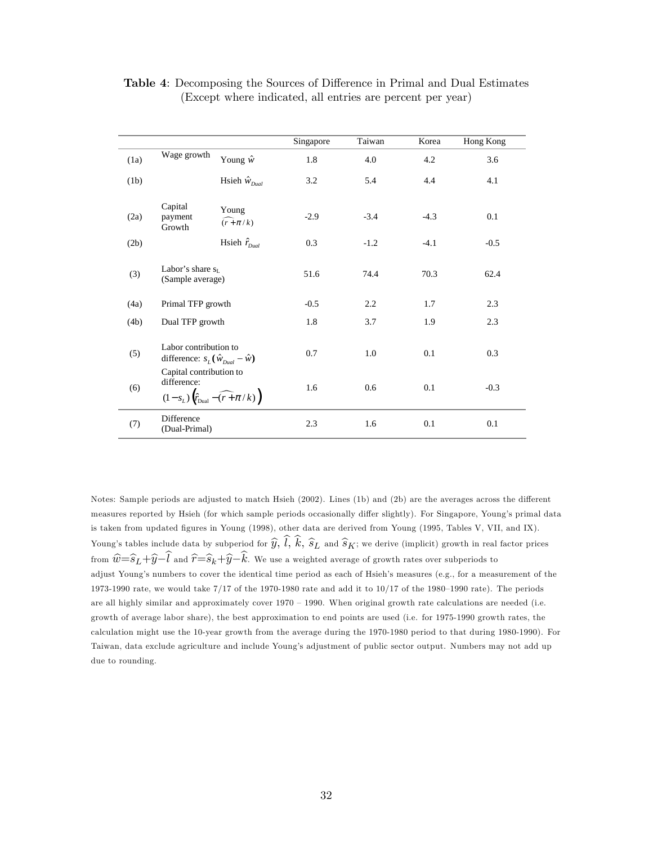|      |                                                                                                             |                        | Singapore | Taiwan | Korea  | Hong Kong |
|------|-------------------------------------------------------------------------------------------------------------|------------------------|-----------|--------|--------|-----------|
| (1a) | Wage growth                                                                                                 | Young $\hat{w}$        | 1.8       | 4.0    | 4.2    | 3.6       |
| (1b) |                                                                                                             | Hsieh $\hat{w}_{Dual}$ | 3.2       | 5.4    | 4.4    | 4.1       |
| (2a) | Capital<br>payment<br>Growth                                                                                | Young<br>$(r + \pi/k)$ | $-2.9$    | $-3.4$ | $-4.3$ | 0.1       |
| (2b) |                                                                                                             | Hsieh $\hat{r}_{quad}$ | 0.3       | $-1.2$ | $-4.1$ | $-0.5$    |
| (3)  | Labor's share $s_L$<br>(Sample average)                                                                     |                        | 51.6      | 74.4   | 70.3   | 62.4      |
| (4a) | Primal TFP growth                                                                                           |                        | $-0.5$    | 2.2    | 1.7    | 2.3       |
| (4b) | Dual TFP growth                                                                                             |                        | 1.8       | 3.7    | 1.9    | 2.3       |
| (5)  | Labor contribution to<br>difference: $s_L(\hat{w}_{Dual} - \hat{w})$                                        |                        | 0.7       | 1.0    | 0.1    | 0.3       |
| (6)  | Capital contribution to<br>difference:<br>$(1-s_L)\left(\hat{r}_{\text{Dual}} - \widehat{(r+\pi/k)}\right)$ |                        | 1.6       | 0.6    | 0.1    | $-0.3$    |
| (7)  | Difference<br>(Dual-Primal)                                                                                 |                        | 2.3       | 1.6    | 0.1    | 0.1       |

**Table 4:** Decomposing the Sources of Difference in Primal and Dual Estimates (Except where indicated, all entries are percent per year)

Notes: Sample periods are adjusted to match Hsieh (2002). Lines (1b) and (2b) are the averages across the different measures reported by Hsieh (for which sample periods occasionally differ slightly). For Singapore, Young's primal data is taken from updated figures in Young (1998), other data are derived from Young (1995, Tables V, VII, and IX). Young's tables include data by subperiod for  $\widehat{y}$ ,  $\widehat{l}$ ,  $\widehat{k}$ ,  $\widehat{s}_L$  and  $\widehat{s}_K$ ; we derive (implicit) growth in real factor prices from  $\hat{w}=\widehat{s}_L+\widehat{y}-\widehat{l}$  and  $\hat{r}=\widehat{s}_k+\widehat{y}-\widehat{k}$ . We use a weighted average of growth rates over subperiods to adjust Young's numbers to cover the identical time period as each of Hsieh's measures (e.g., for a measurement of the 1973-1990 rate, we would take  $7/17$  of the 1970-1980 rate and add it to  $10/17$  of the 1980-1990 rate). The periods are all highly similar and approximately cover  $1970 - 1990$ . When original growth rate calculations are needed (i.e. growth of average labor share), the best approximation to end points are used (i.e. for 1975-1990 growth rates, the calculation might use the 10-year growth from the average during the 1970-1980 period to that during 1980-1990). For Taiwan, data exclude agriculture and include Youngís adjustment of public sector output. Numbers may not add up due to rounding.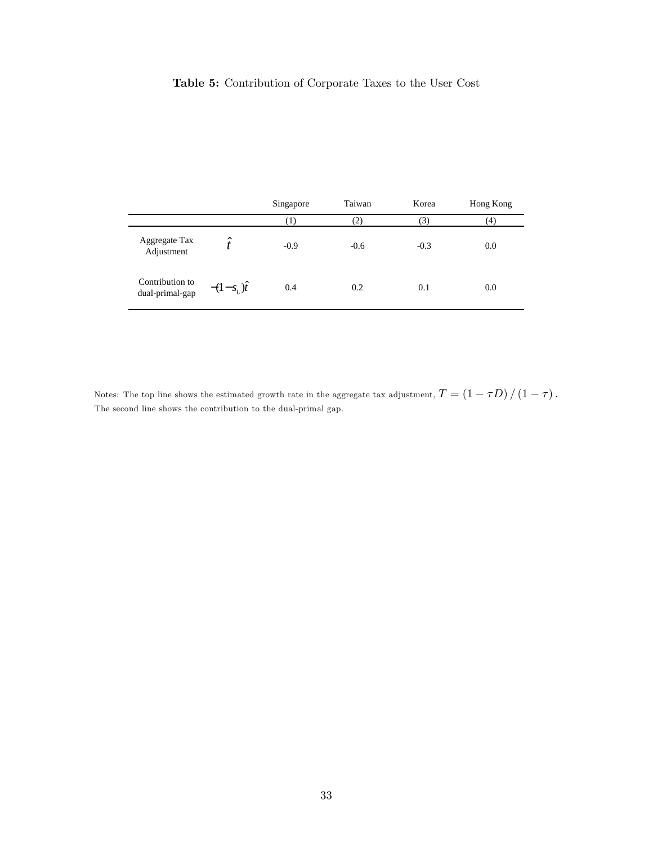# Table 5: Contribution of Corporate Taxes to the User Cost

|                                    |                     | Singapore           | Taiwan            | Korea  | Hong Kong |
|------------------------------------|---------------------|---------------------|-------------------|--------|-----------|
|                                    |                     | $\scriptstyle{(1)}$ | $\left( 2\right)$ | 3)     | (4)       |
| Aggregate Tax<br>Adjustment        | $\hat{\phantom{a}}$ | $-0.9$              | $-0.6$            | $-0.3$ | 0.0       |
| Contribution to<br>dual-primal-gap | $-(1-s_{L})\hat{i}$ | 0.4                 | 0.2               | 0.1    | 0.0       |

Notes: The top line shows the estimated growth rate in the aggregate tax adjustment,  $T = \left(1 - \tau D\right) / \left(1 - \tau\right)$ . The second line shows the contribution to the dual-primal gap.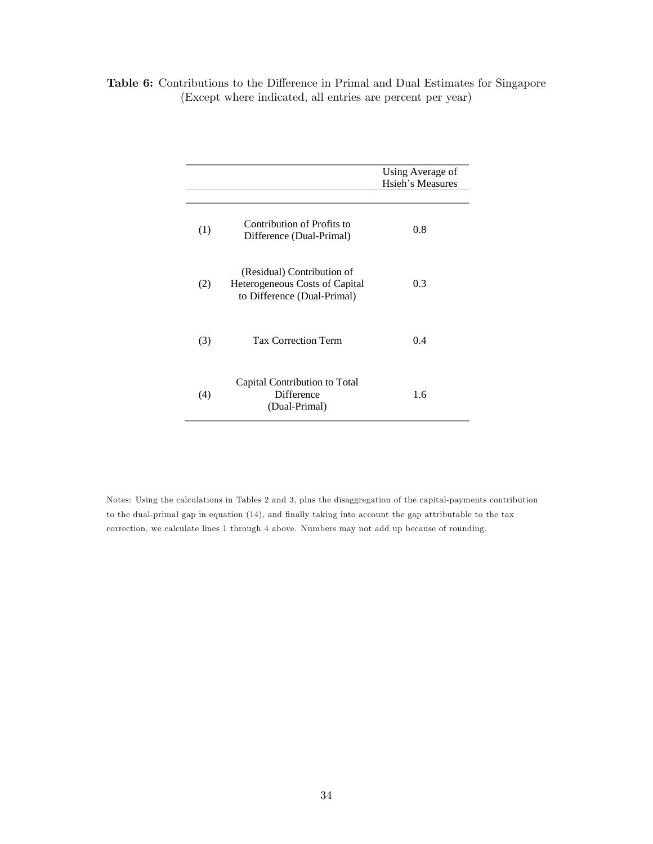|     |                                                                                             | Using Average of<br><b>Hsieh's Measures</b> |
|-----|---------------------------------------------------------------------------------------------|---------------------------------------------|
| (1) | Contribution of Profits to<br>Difference (Dual-Primal)                                      | 0.8                                         |
| (2) | (Residual) Contribution of<br>Heterogeneous Costs of Capital<br>to Difference (Dual-Primal) | 0.3                                         |
| (3) | <b>Tax Correction Term</b>                                                                  | 0.4                                         |
| (4) | Capital Contribution to Total<br><b>Difference</b><br>(Dual-Primal)                         | 1.6                                         |

# Table 6: Contributions to the Difference in Primal and Dual Estimates for Singapore (Except where indicated, all entries are percent per year)

Notes: Using the calculations in Tables 2 and 3, plus the disaggregation of the capital-payments contribution to the dual-primal gap in equation (14), and finally taking into account the gap attributable to the tax correction, we calculate lines 1 through 4 above. Numbers may not add up because of rounding.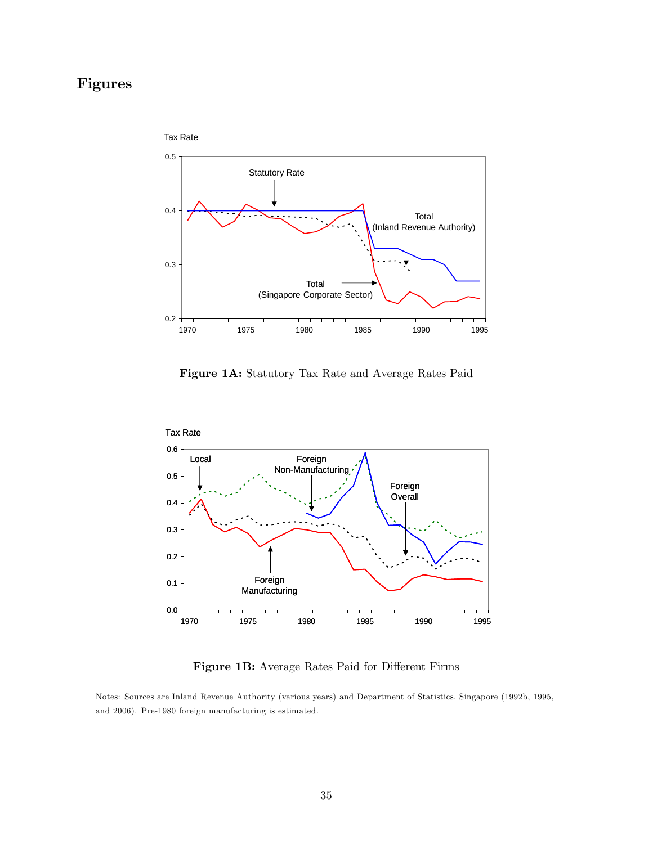# Figures



Figure 1A: Statutory Tax Rate and Average Rates Paid



Figure 1B: Average Rates Paid for Different Firms

Notes: Sources are Inland Revenue Authority (various years) and Department of Statistics, Singapore (1992b, 1995, and 2006). Pre-1980 foreign manufacturing is estimated.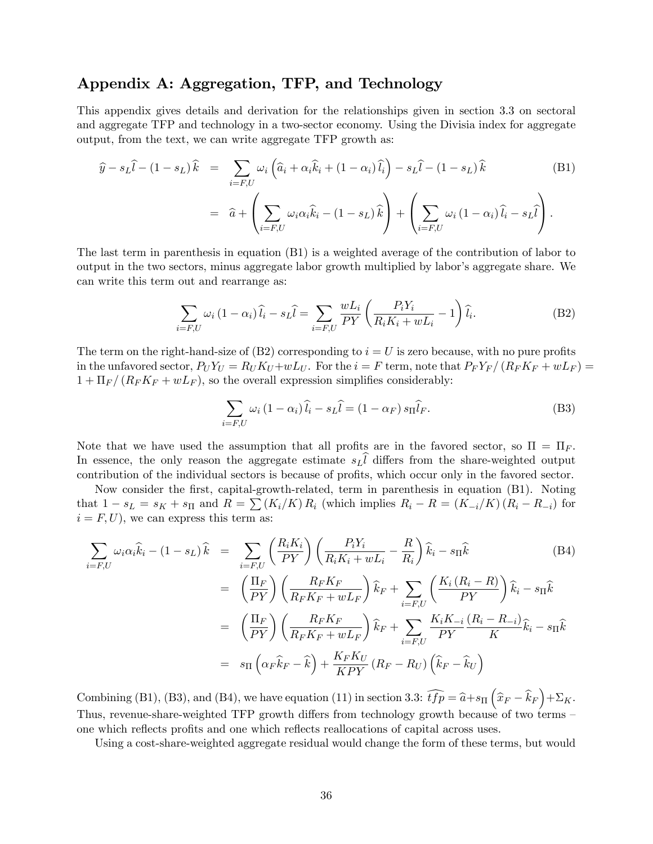# Appendix A: Aggregation, TFP, and Technology

This appendix gives details and derivation for the relationships given in section 3.3 on sectoral and aggregate TFP and technology in a two-sector economy. Using the Divisia index for aggregate output, from the text, we can write aggregate TFP growth as:

$$
\widehat{y} - s_L \widehat{l} - (1 - s_L) \widehat{k} = \sum_{i = F, U} \omega_i \left( \widehat{a}_i + \alpha_i \widehat{k}_i + (1 - \alpha_i) \widehat{l}_i \right) - s_L \widehat{l} - (1 - s_L) \widehat{k}
$$
\n
$$
= \widehat{a} + \left( \sum_{i = F, U} \omega_i \alpha_i \widehat{k}_i - (1 - s_L) \widehat{k} \right) + \left( \sum_{i = F, U} \omega_i (1 - \alpha_i) \widehat{l}_i - s_L \widehat{l} \right).
$$
\n(B1)

The last term in parenthesis in equation (B1) is a weighted average of the contribution of labor to output in the two sectors, minus aggregate labor growth multiplied by labor's aggregate share. We can write this term out and rearrange as:

$$
\sum_{i=F,U} \omega_i (1 - \alpha_i) \widehat{l}_i - s_L \widehat{l} = \sum_{i=F,U} \frac{wL_i}{PY} \left( \frac{P_i Y_i}{R_i K_i + wL_i} - 1 \right) \widehat{l}_i.
$$
 (B2)

The term on the right-hand-size of  $(B2)$  corresponding to  $i = U$  is zero because, with no pure profits in the unfavored sector,  $P_U Y_U = R_U K_U + wL_U$ . For the  $i = F$  term, note that  $P_F Y_F / (R_F K_F + wL_F) =$  $1 + \Pi_F/(R_F K_F + wL_F)$ , so the overall expression simplifies considerably:

$$
\sum_{i=F,U} \omega_i (1 - \alpha_i) \widehat{l}_i - s_L \widehat{l} = (1 - \alpha_F) s_{\Pi} \widehat{l}_F.
$$
 (B3)

Note that we have used the assumption that all profits are in the favored sector, so  $\Pi = \Pi_F$ . In essence, the only reason the aggregate estimate  $s_L l$  differs from the share-weighted output contribution of the individual sectors is because of profits, which occur only in the favored sector.

Now consider the Örst, capital-growth-related, term in parenthesis in equation (B1). Noting that  $1 - s_L = s_K + s_\Pi$  and  $R = \sum (K_i/K) R_i$  (which implies  $R_i - R = (K_{-i}/K) (R_i - R_{-i})$  for  $i = F, U$ , we can express this term as:

$$
\sum_{i=F,U} \omega_i \alpha_i \hat{k}_i - (1 - s_L) \hat{k} = \sum_{i=F,U} \left( \frac{R_i K_i}{PY} \right) \left( \frac{P_i Y_i}{R_i K_i + w L_i} - \frac{R}{R_i} \right) \hat{k}_i - s_{\Pi} \hat{k}
$$
\n(B4)\n
$$
= \left( \frac{\Pi_F}{PY} \right) \left( \frac{R_F K_F}{R_F K_F + w L_F} \right) \hat{k}_F + \sum_{i=F,U} \left( \frac{K_i (R_i - R)}{PY} \right) \hat{k}_i - s_{\Pi} \hat{k}
$$
\n
$$
= \left( \frac{\Pi_F}{PY} \right) \left( \frac{R_F K_F}{R_F K_F + w L_F} \right) \hat{k}_F + \sum_{i=F,U} \frac{K_i K_{-i}}{PY} \frac{(R_i - R_{-i})}{K} \hat{k}_i - s_{\Pi} \hat{k}
$$
\n
$$
= s_{\Pi} \left( \alpha_F \hat{k}_F - \hat{k} \right) + \frac{K_F K_U}{KPY} \left( R_F - R_U \right) \left( \hat{k}_F - \hat{k}_U \right)
$$

Combining (B1), (B3), and (B4), we have equation (11) in section 3.3:  $\widehat{tfp} = \widehat{a} + s_{\Pi} (\widehat{x}_F - \widehat{k}_F) + \Sigma_K$ . Thus, revenue-share-weighted TFP growth differs from technology growth because of two terms – one which reflects profits and one which reflects reallocations of capital across uses.

Using a cost-share-weighted aggregate residual would change the form of these terms, but would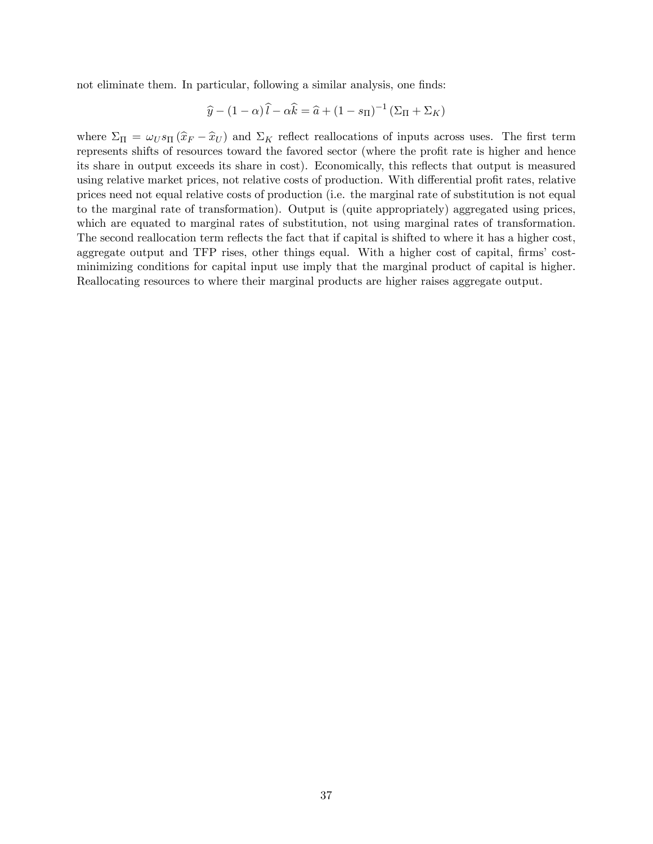not eliminate them. In particular, following a similar analysis, one finds:

$$
\widehat{y} - (1 - \alpha)\widehat{l} - \alpha \widehat{k} = \widehat{a} + (1 - s_{\Pi})^{-1} (\Sigma_{\Pi} + \Sigma_{K})
$$

where  $\Sigma_{\Pi} = \omega_U s_{\Pi} (\hat{x}_F - \hat{x}_U)$  and  $\Sigma_K$  reflect reallocations of inputs across uses. The first term represents shifts of resources toward the favored sector (where the profit rate is higher and hence its share in output exceeds its share in cost). Economically, this reflects that output is measured using relative market prices, not relative costs of production. With differential profit rates, relative prices need not equal relative costs of production (i.e. the marginal rate of substitution is not equal to the marginal rate of transformation). Output is (quite appropriately) aggregated using prices, which are equated to marginal rates of substitution, not using marginal rates of transformation. The second reallocation term reflects the fact that if capital is shifted to where it has a higher cost, aggregate output and TFP rises, other things equal. With a higher cost of capital, firms' costminimizing conditions for capital input use imply that the marginal product of capital is higher. Reallocating resources to where their marginal products are higher raises aggregate output.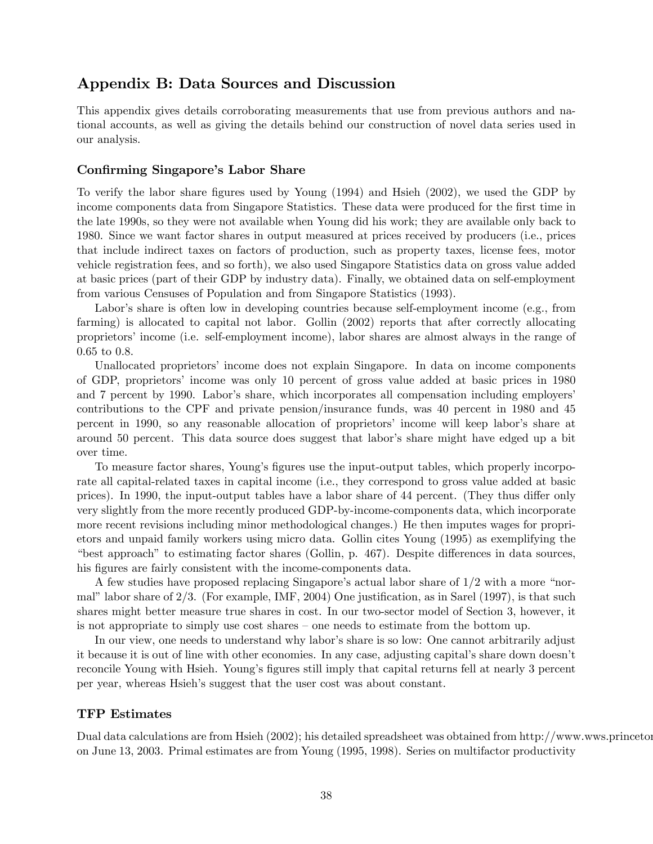# Appendix B: Data Sources and Discussion

This appendix gives details corroborating measurements that use from previous authors and national accounts, as well as giving the details behind our construction of novel data series used in our analysis.

## Confirming Singapore's Labor Share

To verify the labor share figures used by Young (1994) and Hsieh (2002), we used the GDP by income components data from Singapore Statistics. These data were produced for the first time in the late 1990s, so they were not available when Young did his work; they are available only back to 1980. Since we want factor shares in output measured at prices received by producers (i.e., prices that include indirect taxes on factors of production, such as property taxes, license fees, motor vehicle registration fees, and so forth), we also used Singapore Statistics data on gross value added at basic prices (part of their GDP by industry data). Finally, we obtained data on self-employment from various Censuses of Population and from Singapore Statistics (1993).

Labor's share is often low in developing countries because self-employment income (e.g., from farming) is allocated to capital not labor. Gollin (2002) reports that after correctly allocating proprietors' income (i.e. self-employment income), labor shares are almost always in the range of 0.65 to 0.8.

Unallocated proprietors' income does not explain Singapore. In data on income components of GDP, proprietorsí income was only 10 percent of gross value added at basic prices in 1980 and 7 percent by 1990. Labor's share, which incorporates all compensation including employers' contributions to the CPF and private pension/insurance funds, was 40 percent in 1980 and 45 percent in 1990, so any reasonable allocation of proprietorsí income will keep laborís share at around 50 percent. This data source does suggest that labor's share might have edged up a bit over time.

To measure factor shares, Young's figures use the input-output tables, which properly incorporate all capital-related taxes in capital income (i.e., they correspond to gross value added at basic prices). In 1990, the input-output tables have a labor share of 44 percent. (They thus differ only very slightly from the more recently produced GDP-by-income-components data, which incorporate more recent revisions including minor methodological changes.) He then imputes wages for proprietors and unpaid family workers using micro data. Gollin cites Young (1995) as exemplifying the "best approach" to estimating factor shares (Gollin, p.  $467$ ). Despite differences in data sources, his figures are fairly consistent with the income-components data.

A few studies have proposed replacing Singapore's actual labor share of  $1/2$  with a more "normal" labor share of  $2/3$ . (For example, IMF, 2004) One justification, as in Sarel (1997), is that such shares might better measure true shares in cost. In our two-sector model of Section 3, however, it is not appropriate to simply use cost shares – one needs to estimate from the bottom up.

In our view, one needs to understand why labor's share is so low: One cannot arbitrarily adjust it because it is out of line with other economies. In any case, adjusting capitalís share down doesnít reconcile Young with Hsieh. Young's figures still imply that capital returns fell at nearly 3 percent per year, whereas Hsieh's suggest that the user cost was about constant.

## TFP Estimates

Dual data calculations are from Hsieh  $(2002)$ ; his detailed spreadsheet was obtained from http://www.wws.princeton. on June 13, 2003. Primal estimates are from Young (1995, 1998). Series on multifactor productivity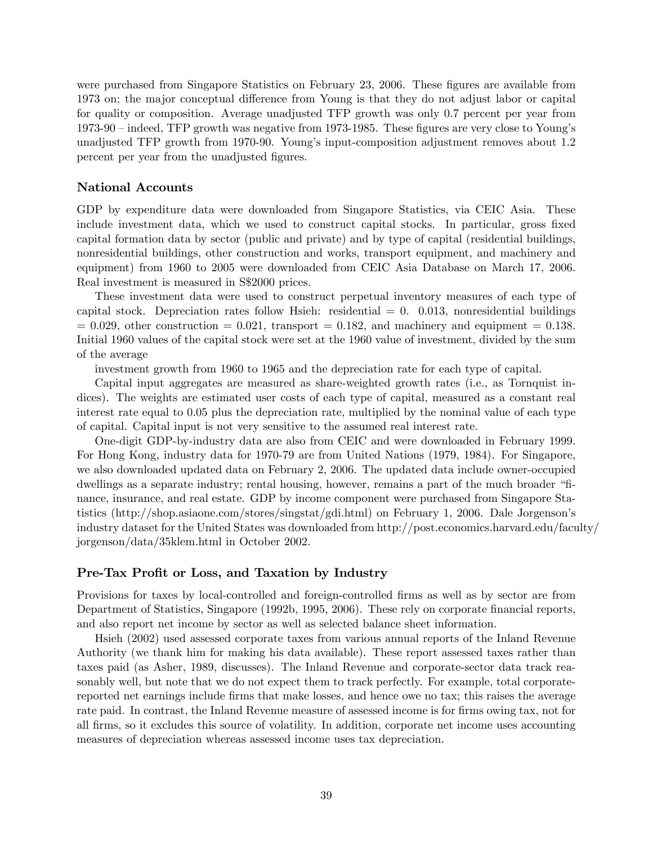were purchased from Singapore Statistics on February 23, 2006. These figures are available from 1973 on; the major conceptual difference from Young is that they do not adjust labor or capital for quality or composition. Average unadjusted TFP growth was only 0.7 percent per year from  $1973-90$  – indeed, TFP growth was negative from 1973-1985. These figures are very close to Young's unadjusted TFP growth from 1970-90. Youngís input-composition adjustment removes about 1.2 percent per year from the unadjusted figures.

## National Accounts

GDP by expenditure data were downloaded from Singapore Statistics, via CEIC Asia. These include investment data, which we used to construct capital stocks. In particular, gross Öxed capital formation data by sector (public and private) and by type of capital (residential buildings, nonresidential buildings, other construction and works, transport equipment, and machinery and equipment) from 1960 to 2005 were downloaded from CEIC Asia Database on March 17, 2006. Real investment is measured in S\$2000 prices.

These investment data were used to construct perpetual inventory measures of each type of capital stock. Depreciation rates follow Hsieh: residential  $= 0.0013$ , nonresidential buildings  $= 0.029$ , other construction  $= 0.021$ , transport  $= 0.182$ , and machinery and equipment  $= 0.138$ . Initial 1960 values of the capital stock were set at the 1960 value of investment, divided by the sum of the average

investment growth from 1960 to 1965 and the depreciation rate for each type of capital.

Capital input aggregates are measured as share-weighted growth rates (i.e., as Tornquist indices). The weights are estimated user costs of each type of capital, measured as a constant real interest rate equal to 0.05 plus the depreciation rate, multiplied by the nominal value of each type of capital. Capital input is not very sensitive to the assumed real interest rate.

One-digit GDP-by-industry data are also from CEIC and were downloaded in February 1999. For Hong Kong, industry data for 1970-79 are from United Nations (1979, 1984). For Singapore, we also downloaded updated data on February 2, 2006. The updated data include owner-occupied dwellings as a separate industry; rental housing, however, remains a part of the much broader "finance, insurance, and real estate. GDP by income component were purchased from Singapore Statistics (http://shop.asiaone.com/stores/singstat/gdi.html) on February 1, 2006. Dale Jorgensonís industry dataset for the United States was downloaded from http://post.economics.harvard.edu/faculty/ jorgenson/data/35klem.html in October 2002.

## Pre-Tax Profit or Loss, and Taxation by Industry

Provisions for taxes by local-controlled and foreign-controlled firms as well as by sector are from Department of Statistics, Singapore (1992b, 1995, 2006). These rely on corporate financial reports, and also report net income by sector as well as selected balance sheet information.

Hsieh (2002) used assessed corporate taxes from various annual reports of the Inland Revenue Authority (we thank him for making his data available). These report assessed taxes rather than taxes paid (as Asher, 1989, discusses). The Inland Revenue and corporate-sector data track reasonably well, but note that we do not expect them to track perfectly. For example, total corporatereported net earnings include firms that make losses, and hence owe no tax; this raises the average rate paid. In contrast, the Inland Revenue measure of assessed income is for firms owing tax, not for all Örms, so it excludes this source of volatility. In addition, corporate net income uses accounting measures of depreciation whereas assessed income uses tax depreciation.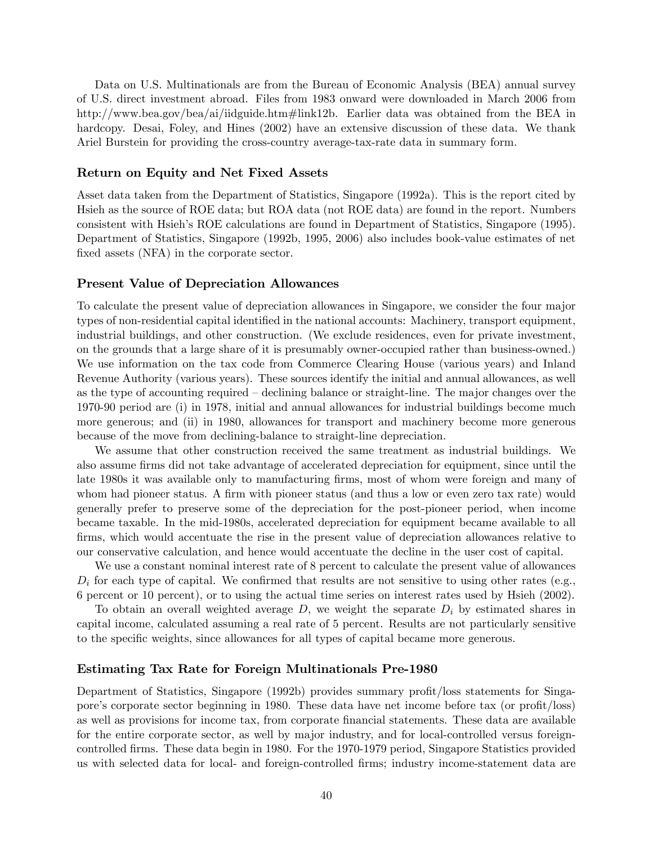Data on U.S. Multinationals are from the Bureau of Economic Analysis (BEA) annual survey of U.S. direct investment abroad. Files from 1983 onward were downloaded in March 2006 from http://www.bea.gov/bea/ai/iidguide.htm#link12b. Earlier data was obtained from the BEA in hardcopy. Desai, Foley, and Hines (2002) have an extensive discussion of these data. We thank Ariel Burstein for providing the cross-country average-tax-rate data in summary form.

#### Return on Equity and Net Fixed Assets

Asset data taken from the Department of Statistics, Singapore (1992a). This is the report cited by Hsieh as the source of ROE data; but ROA data (not ROE data) are found in the report. Numbers consistent with Hsiehís ROE calculations are found in Department of Statistics, Singapore (1995). Department of Statistics, Singapore (1992b, 1995, 2006) also includes book-value estimates of net fixed assets (NFA) in the corporate sector.

### Present Value of Depreciation Allowances

To calculate the present value of depreciation allowances in Singapore, we consider the four major types of non-residential capital identified in the national accounts: Machinery, transport equipment, industrial buildings, and other construction. (We exclude residences, even for private investment, on the grounds that a large share of it is presumably owner-occupied rather than business-owned.) We use information on the tax code from Commerce Clearing House (various years) and Inland Revenue Authority (various years). These sources identify the initial and annual allowances, as well as the type of accounting required  $-\text{ declining balance or straight-line}$ . The major changes over the 1970-90 period are (i) in 1978, initial and annual allowances for industrial buildings become much more generous; and (ii) in 1980, allowances for transport and machinery become more generous because of the move from declining-balance to straight-line depreciation.

We assume that other construction received the same treatment as industrial buildings. We also assume firms did not take advantage of accelerated depreciation for equipment, since until the late 1980s it was available only to manufacturing firms, most of whom were foreign and many of whom had pioneer status. A firm with pioneer status (and thus a low or even zero tax rate) would generally prefer to preserve some of the depreciation for the post-pioneer period, when income became taxable. In the mid-1980s, accelerated depreciation for equipment became available to all firms, which would accentuate the rise in the present value of depreciation allowances relative to our conservative calculation, and hence would accentuate the decline in the user cost of capital.

We use a constant nominal interest rate of 8 percent to calculate the present value of allowances  $D_i$  for each type of capital. We confirmed that results are not sensitive to using other rates (e.g., 6 percent or 10 percent), or to using the actual time series on interest rates used by Hsieh (2002).

To obtain an overall weighted average  $D$ , we weight the separate  $D_i$  by estimated shares in capital income, calculated assuming a real rate of 5 percent. Results are not particularly sensitive to the specific weights, since allowances for all types of capital became more generous.

#### Estimating Tax Rate for Foreign Multinationals Pre-1980

Department of Statistics, Singapore (1992b) provides summary profit/loss statements for Singapore's corporate sector beginning in 1980. These data have net income before tax (or profit/loss) as well as provisions for income tax, from corporate financial statements. These data are available for the entire corporate sector, as well by major industry, and for local-controlled versus foreigncontrolled Örms. These data begin in 1980. For the 1970-1979 period, Singapore Statistics provided us with selected data for local- and foreign-controlled Örms; industry income-statement data are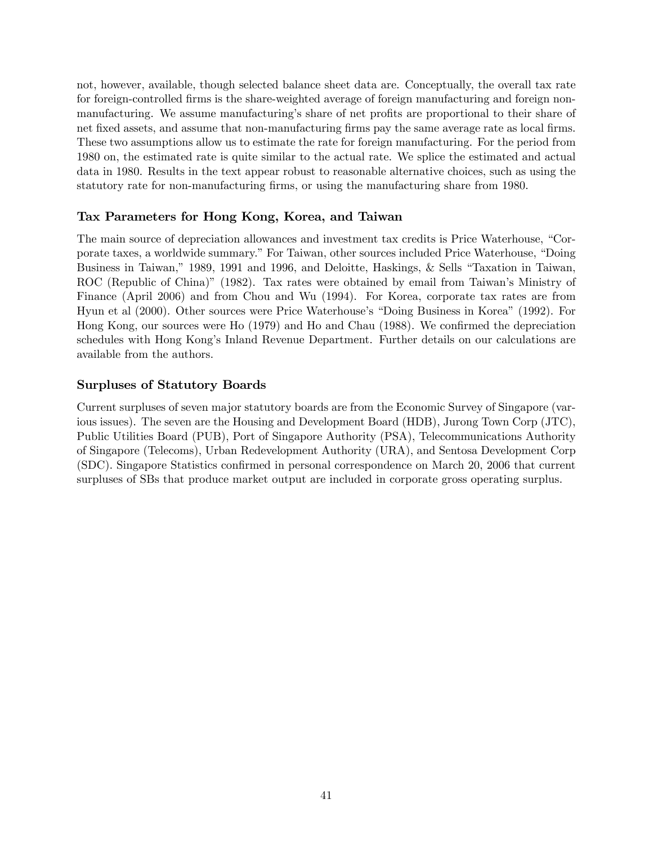not, however, available, though selected balance sheet data are. Conceptually, the overall tax rate for foreign-controlled firms is the share-weighted average of foreign manufacturing and foreign nonmanufacturing. We assume manufacturing's share of net profits are proportional to their share of net fixed assets, and assume that non-manufacturing firms pay the same average rate as local firms. These two assumptions allow us to estimate the rate for foreign manufacturing. For the period from 1980 on, the estimated rate is quite similar to the actual rate. We splice the estimated and actual data in 1980. Results in the text appear robust to reasonable alternative choices, such as using the statutory rate for non-manufacturing firms, or using the manufacturing share from 1980.

# Tax Parameters for Hong Kong, Korea, and Taiwan

The main source of depreciation allowances and investment tax credits is Price Waterhouse, "Corporate taxes, a worldwide summary." For Taiwan, other sources included Price Waterhouse, "Doing Business in Taiwan," 1989, 1991 and 1996, and Deloitte, Haskings, & Sells "Taxation in Taiwan, ROC (Republic of China)" (1982). Tax rates were obtained by email from Taiwan's Ministry of Finance (April 2006) and from Chou and Wu (1994). For Korea, corporate tax rates are from Hyun et al (2000). Other sources were Price Waterhouse's "Doing Business in Korea" (1992). For Hong Kong, our sources were Ho (1979) and Ho and Chau (1988). We confirmed the depreciation schedules with Hong Kongís Inland Revenue Department. Further details on our calculations are available from the authors.

# Surpluses of Statutory Boards

Current surpluses of seven major statutory boards are from the Economic Survey of Singapore (various issues). The seven are the Housing and Development Board (HDB), Jurong Town Corp (JTC), Public Utilities Board (PUB), Port of Singapore Authority (PSA), Telecommunications Authority of Singapore (Telecoms), Urban Redevelopment Authority (URA), and Sentosa Development Corp (SDC). Singapore Statistics confirmed in personal correspondence on March 20, 2006 that current surpluses of SBs that produce market output are included in corporate gross operating surplus.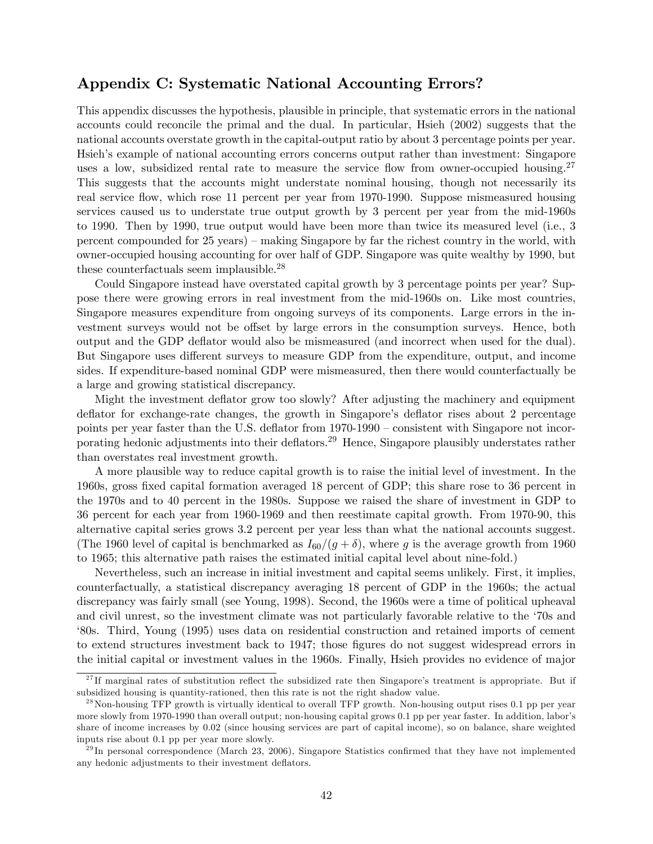# Appendix C: Systematic National Accounting Errors?

This appendix discusses the hypothesis, plausible in principle, that systematic errors in the national accounts could reconcile the primal and the dual. In particular, Hsieh (2002) suggests that the national accounts overstate growth in the capital-output ratio by about 3 percentage points per year. Hsieh's example of national accounting errors concerns output rather than investment: Singapore uses a low, subsidized rental rate to measure the service flow from owner-occupied housing.<sup>27</sup> This suggests that the accounts might understate nominal housing, though not necessarily its real service áow, which rose 11 percent per year from 1970-1990. Suppose mismeasured housing services caused us to understate true output growth by 3 percent per year from the mid-1960s to 1990. Then by 1990, true output would have been more than twice its measured level (i.e., 3 percent compounded for  $25$  years) – making Singapore by far the richest country in the world, with owner-occupied housing accounting for over half of GDP. Singapore was quite wealthy by 1990, but these counterfactuals seem implausible.<sup>28</sup>

Could Singapore instead have overstated capital growth by 3 percentage points per year? Suppose there were growing errors in real investment from the mid-1960s on. Like most countries, Singapore measures expenditure from ongoing surveys of its components. Large errors in the investment surveys would not be offset by large errors in the consumption surveys. Hence, both output and the GDP deáator would also be mismeasured (and incorrect when used for the dual). But Singapore uses different surveys to measure GDP from the expenditure, output, and income sides. If expenditure-based nominal GDP were mismeasured, then there would counterfactually be a large and growing statistical discrepancy.

Might the investment deflator grow too slowly? After adjusting the machinery and equipment deflator for exchange-rate changes, the growth in Singapore's deflator rises about 2 percentage points per year faster than the U.S. deflator from  $1970-1990$  – consistent with Singapore not incorporating hedonic adjustments into their deflators.<sup>29</sup> Hence, Singapore plausibly understates rather than overstates real investment growth.

A more plausible way to reduce capital growth is to raise the initial level of investment. In the 1960s, gross Öxed capital formation averaged 18 percent of GDP; this share rose to 36 percent in the 1970s and to 40 percent in the 1980s. Suppose we raised the share of investment in GDP to 36 percent for each year from 1960-1969 and then reestimate capital growth. From 1970-90, this alternative capital series grows 3.2 percent per year less than what the national accounts suggest. (The 1960 level of capital is benchmarked as  $I_{60}/(g + \delta)$ , where g is the average growth from 1960 to 1965; this alternative path raises the estimated initial capital level about nine-fold.)

Nevertheless, such an increase in initial investment and capital seems unlikely. First, it implies, counterfactually, a statistical discrepancy averaging 18 percent of GDP in the 1960s; the actual discrepancy was fairly small (see Young, 1998). Second, the 1960s were a time of political upheaval and civil unrest, so the investment climate was not particularly favorable relative to the '70s and ë80s. Third, Young (1995) uses data on residential construction and retained imports of cement to extend structures investment back to 1947; those figures do not suggest widespread errors in the initial capital or investment values in the 1960s. Finally, Hsieh provides no evidence of major

 $27$  If marginal rates of substitution reflect the subsidized rate then Singapore's treatment is appropriate. But if subsidized housing is quantity-rationed, then this rate is not the right shadow value.

 $^{28}$  Non-housing TFP growth is virtually identical to overall TFP growth. Non-housing output rises 0.1 pp per year more slowly from 1970-1990 than overall output; non-housing capital grows 0.1 pp per year faster. In addition, labor's share of income increases by 0.02 (since housing services are part of capital income), so on balance, share weighted inputs rise about 0.1 pp per year more slowly.

 $^{29}$ In personal correspondence (March 23, 2006), Singapore Statistics confirmed that they have not implemented any hedonic adjustments to their investment deflators.